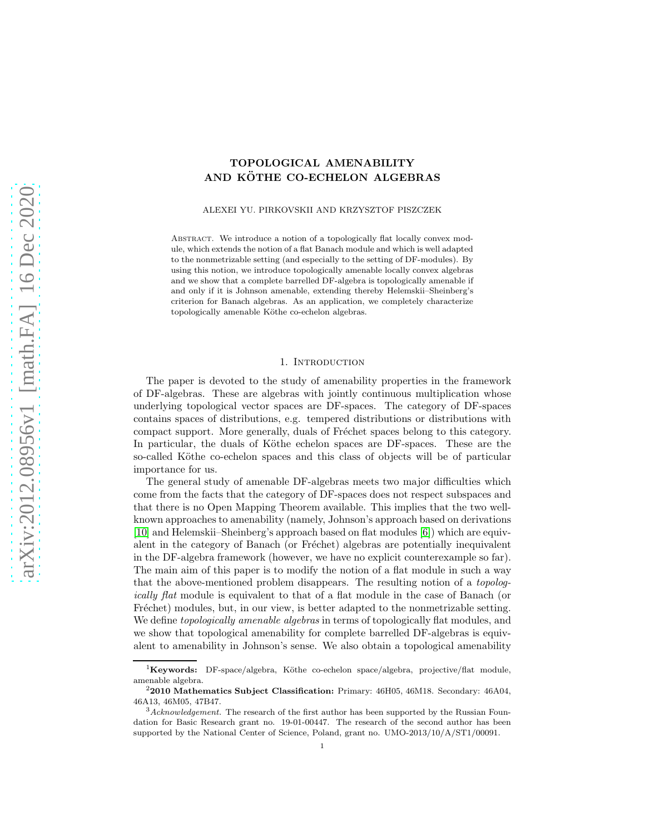## TOPOLOGICAL AMENABILITY AND KÖTHE CO-ECHELON ALGEBRAS

ALEXEI YU. PIRKOVSKII AND KRZYSZTOF PISZCZEK

ABSTRACT. We introduce a notion of a topologically flat locally convex module, which extends the notion of a flat Banach module and which is well adapted to the nonmetrizable setting (and especially to the setting of DF-modules). By using this notion, we introduce topologically amenable locally convex algebras and we show that a complete barrelled DF-algebra is topologically amenable if and only if it is Johnson amenable, extending thereby Helemskii–Sheinberg's criterion for Banach algebras. As an application, we completely characterize topologically amenable Köthe co-echelon algebras.

#### 1. INTRODUCTION

The paper is devoted to the study of amenability properties in the framework of DF-algebras. These are algebras with jointly continuous multiplication whose underlying topological vector spaces are DF-spaces. The category of DF-spaces contains spaces of distributions, e.g. tempered distributions or distributions with compact support. More generally, duals of Fréchet spaces belong to this category. In particular, the duals of Köthe echelon spaces are DF-spaces. These are the so-called Köthe co-echelon spaces and this class of objects will be of particular importance for us.

The general study of amenable DF-algebras meets two major difficulties which come from the facts that the category of DF-spaces does not respect subspaces and that there is no Open Mapping Theorem available. This implies that the two wellknown approaches to amenability (namely, Johnson's approach based on derivations [\[10\]](#page-18-0) and Helemskii–Sheinberg's approach based on flat modules [\[6\]](#page-18-1)) which are equivalent in the category of Banach (or Fréchet) algebras are potentially inequivalent in the DF-algebra framework (however, we have no explicit counterexample so far). The main aim of this paper is to modify the notion of a flat module in such a way that the above-mentioned problem disappears. The resulting notion of a *topologically flat* module is equivalent to that of a flat module in the case of Banach (or Fréchet) modules, but, in our view, is better adapted to the nonmetrizable setting. We define *topologically amenable algebras* in terms of topologically flat modules, and we show that topological amenability for complete barrelled DF-algebras is equivalent to amenability in Johnson's sense. We also obtain a topological amenability

 ${}^{1}$ Keywords: DF-space/algebra, Köthe co-echelon space/algebra, projective/flat module, amenable algebra.

 $22010$  Mathematics Subject Classification: Primary:  $46H05$ ,  $46M18$ . Secondary:  $46A04$ . 46A13, 46M05, 47B47.

<sup>3</sup>*Acknowledgement.* The research of the first author has been supported by the Russian Foundation for Basic Research grant no. 19-01-00447. The research of the second author has been supported by the National Center of Science, Poland, grant no. UMO-2013/10/A/ST1/00091.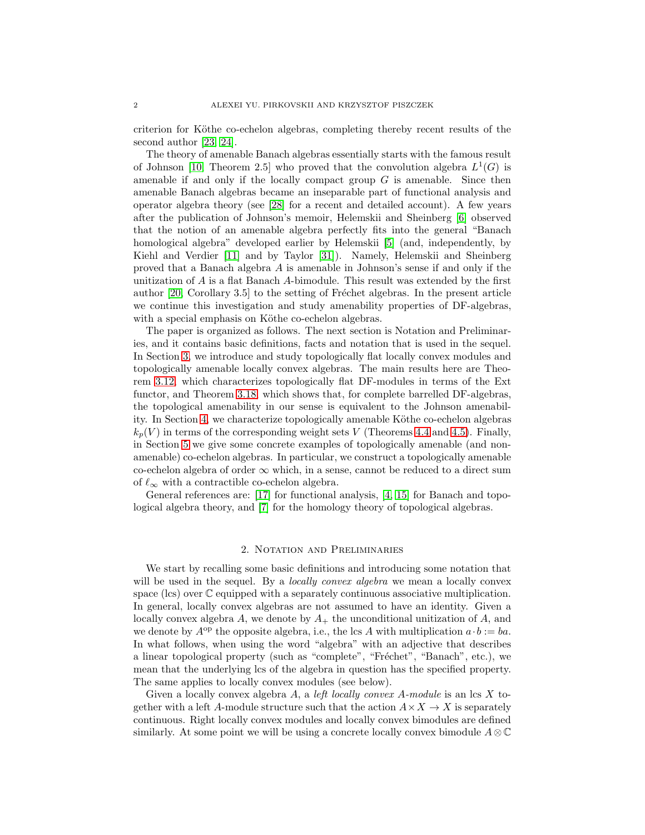criterion for Köthe co-echelon algebras, completing thereby recent results of the second author [\[23,](#page-19-0) [24\]](#page-19-1).

The theory of amenable Banach algebras essentially starts with the famous result of Johnson [\[10,](#page-18-0) Theorem 2.5] who proved that the convolution algebra  $L^1(G)$  is amenable if and only if the locally compact group  $G$  is amenable. Since then amenable Banach algebras became an inseparable part of functional analysis and operator algebra theory (see [\[28\]](#page-19-2) for a recent and detailed account). A few years after the publication of Johnson's memoir, Helemskii and Sheinberg [\[6\]](#page-18-1) observed that the notion of an amenable algebra perfectly fits into the general "Banach homological algebra" developed earlier by Helemskii [\[5\]](#page-18-2) (and, independently, by Kiehl and Verdier [\[11\]](#page-18-3) and by Taylor [\[31\]](#page-19-3)). Namely, Helemskii and Sheinberg proved that a Banach algebra A is amenable in Johnson's sense if and only if the unitization of A is a flat Banach A-bimodule. This result was extended by the first author  $[20, Corollary 3.5]$  to the setting of Fréchet algebras. In the present article we continue this investigation and study amenability properties of DF-algebras, with a special emphasis on Köthe co-echelon algebras.

The paper is organized as follows. The next section is Notation and Preliminaries, and it contains basic definitions, facts and notation that is used in the sequel. In Section [3,](#page-6-0) we introduce and study topologically flat locally convex modules and topologically amenable locally convex algebras. The main results here are Theorem [3.12,](#page-8-0) which characterizes topologically flat DF-modules in terms of the Ext functor, and Theorem [3.18,](#page-9-0) which shows that, for complete barrelled DF-algebras, the topological amenability in our sense is equivalent to the Johnson amenabil-ity. In Section [4,](#page-11-0) we characterize topologically amenable Köthe co-echelon algebras  $k_p(V)$  in terms of the corresponding weight sets V (Theorems [4.4](#page-13-0) and [4.5\)](#page-14-0). Finally, in Section [5](#page-15-0) we give some concrete examples of topologically amenable (and nonamenable) co-echelon algebras. In particular, we construct a topologically amenable co-echelon algebra of order  $\infty$  which, in a sense, cannot be reduced to a direct sum of  $\ell_{\infty}$  with a contractible co-echelon algebra.

General references are: [\[17\]](#page-18-4) for functional analysis, [\[4,](#page-18-5) [15\]](#page-18-6) for Banach and topological algebra theory, and [\[7\]](#page-18-7) for the homology theory of topological algebras.

## 2. Notation and Preliminaries

We start by recalling some basic definitions and introducing some notation that will be used in the sequel. By a *locally convex algebra* we mean a locally convex space (lcs) over  $\mathbb C$  equipped with a separately continuous associative multiplication. In general, locally convex algebras are not assumed to have an identity. Given a locally convex algebra  $A$ , we denote by  $A_+$  the unconditional unitization of  $A$ , and we denote by  $A^{op}$  the opposite algebra, i.e., the lcs A with multiplication  $a \cdot b := ba$ . In what follows, when using the word "algebra" with an adjective that describes a linear topological property (such as "complete", "Fréchet", "Banach", etc.), we mean that the underlying lcs of the algebra in question has the specified property. The same applies to locally convex modules (see below).

Given a locally convex algebra A, a *left locally convex A-module* is an lcs X together with a left A-module structure such that the action  $A \times X \to X$  is separately continuous. Right locally convex modules and locally convex bimodules are defined similarly. At some point we will be using a concrete locally convex bimodule  $A \otimes \mathbb{C}$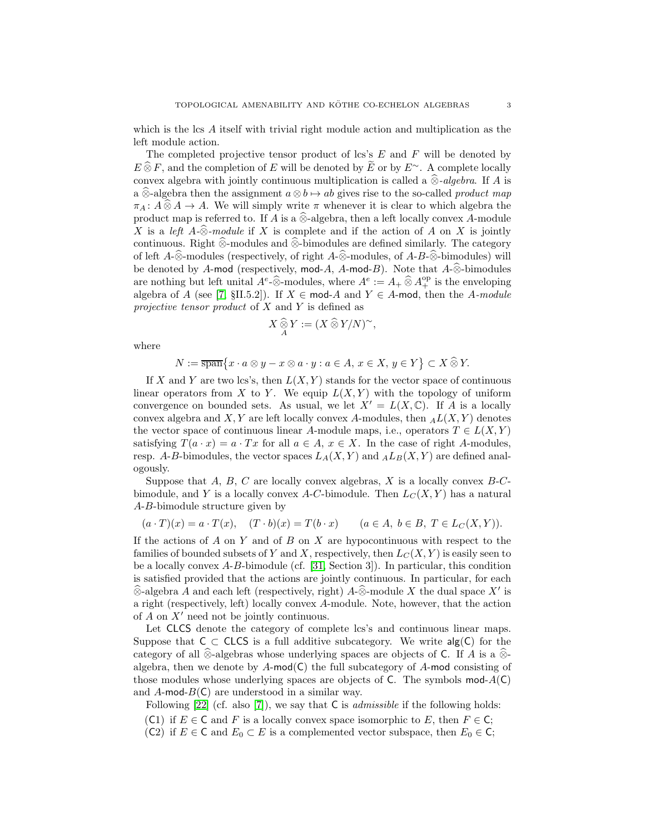which is the lcs A itself with trivial right module action and multiplication as the left module action.

The completed projective tensor product of lcs's  $E$  and  $F$  will be denoted by  $E \widehat{\otimes} F$ , and the completion of E will be denoted by  $\widetilde{E}$  or by E<sup>∼</sup>. A complete locally convex algebra with jointly continuous multiplication is called a  $\hat{\otimes}$ *-algebra*. If A is a  $\hat{\otimes}$ -algebra then the assignment  $a \otimes b \mapsto ab$  gives rise to the so-called *product map*  $\pi_A: A\widehat{\otimes}A \to A$ . We will simply write  $\pi$  whenever it is clear to which algebra the product map is referred to. If A is a  $\widehat{\otimes}$ -algebra, then a left locally convex A-module X is a *left*  $A \text{-} \widehat{\otimes}$ *-module* if X is complete and if the action of A on X is jointly continuous. Right  $\widehat{\otimes}$ -modules and  $\widehat{\otimes}$ -bimodules are defined similarly. The category of left A-⊗-modules (respectively, of right A-⊗-modules, of A-B-⊗-bimodules) will be denoted by A-mod (respectively, mod-A, A-mod-B). Note that  $A_-\hat{\otimes}$ -bimodules are nothing but left unital  $A^e \widehat{\otimes}$ -modules, where  $A^e := A_+ \widehat{\otimes} A_+^{\rm op}$  is the enveloping algebra of A (see [\[7,](#page-18-7) §II.5.2]). If  $X \in \text{mod-}A$  and  $Y \in A$ -mod, then the A-module *projective tensor product* of X and Y is defined as

$$
X \mathop{\widehat{\otimes}}_A Y := (X \mathop{\widehat{\otimes}} Y/N)^\sim,
$$

where

$$
N:=\overline{\operatorname{span}}\big\{x\cdot a\otimes y-x\otimes a\cdot y:a\in A,\,x\in X,\,y\in Y\big\}\subset X\,\widehat{\otimes}\,Y.
$$

If X and Y are two lcs's, then  $L(X, Y)$  stands for the vector space of continuous linear operators from X to Y. We equip  $L(X, Y)$  with the topology of uniform convergence on bounded sets. As usual, we let  $X' = L(X, \mathbb{C})$ . If A is a locally convex algebra and  $X, Y$  are left locally convex A-modules, then  $_A L(X, Y)$  denotes the vector space of continuous linear A-module maps, i.e., operators  $T \in L(X, Y)$ satisfying  $T(a \cdot x) = a \cdot Tx$  for all  $a \in A$ ,  $x \in X$ . In the case of right A-modules, resp. A-B-bimodules, the vector spaces  $L_A(X, Y)$  and  $_A L_B(X, Y)$  are defined analogously.

Suppose that  $A, B, C$  are locally convex algebras,  $X$  is a locally convex  $B-C$ bimodule, and Y is a locally convex A-C-bimodule. Then  $L_C(X, Y)$  has a natural A-B-bimodule structure given by

$$
(a \cdot T)(x) = a \cdot T(x), \quad (T \cdot b)(x) = T(b \cdot x) \qquad (a \in A, \ b \in B, \ T \in L_C(X, Y)).
$$

If the actions of  $A$  on  $Y$  and of  $B$  on  $X$  are hypocontinuous with respect to the families of bounded subsets of Y and X, respectively, then  $L_C(X, Y)$  is easily seen to be a locally convex  $A-B$ -bimodule (cf. [\[31,](#page-19-3) Section 3]). In particular, this condition is satisfied provided that the actions are jointly continuous. In particular, for each  $\widehat{\otimes}$ -algebra A and each left (respectively, right) A- $\widehat{\otimes}$ -module X the dual space X' is a right (respectively, left) locally convex A-module. Note, however, that the action of  $A$  on  $X'$  need not be jointly continuous.

Let CLCS denote the category of complete lcs's and continuous linear maps. Suppose that  $C \subset CLCS$  is a full additive subcategory. We write  $\text{alg}(C)$  for the category of all ⊗-algebras whose underlying spaces are objects of C. If A is a  $\hat{\otimes}$ algebra, then we denote by  $A$ -mod(C) the full subcategory of  $A$ -mod consisting of those modules whose underlying spaces are objects of C. The symbols mod- $A(C)$ and  $A$ -mod- $B(C)$  are understood in a similar way.

Following [\[22\]](#page-19-5) (cf. also [\[7\]](#page-18-7)), we say that C is *admissible* if the following holds:

- (C1) if  $E \in \mathsf{C}$  and F is a locally convex space isomorphic to E, then  $F \in \mathsf{C}$ ;
- (C2) if  $E \in \mathsf{C}$  and  $E_0 \subset E$  is a complemented vector subspace, then  $E_0 \in \mathsf{C}$ ;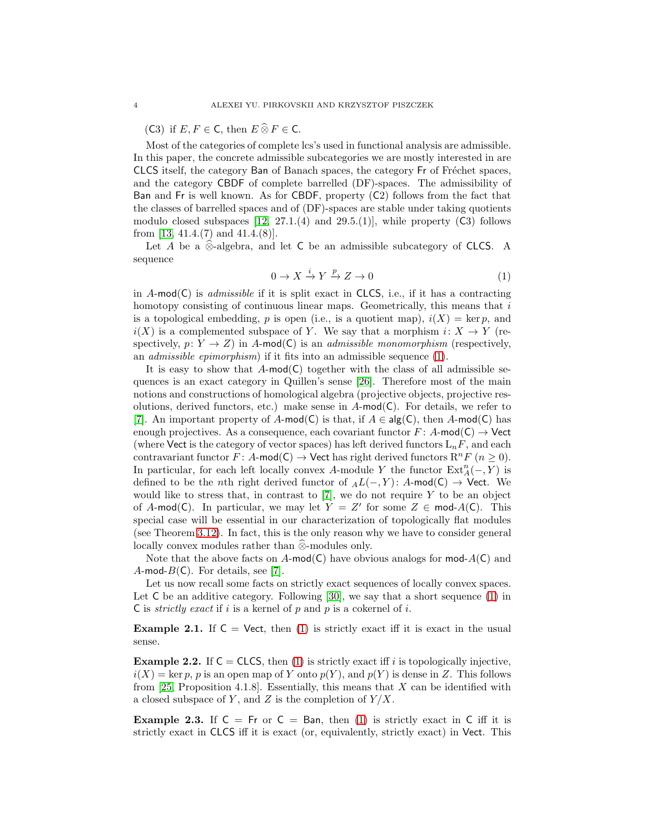(C3) if  $E, F \in \mathsf{C}$ , then  $E \widehat{\otimes} F \in \mathsf{C}$ .

Most of the categories of complete lcs's used in functional analysis are admissible. In this paper, the concrete admissible subcategories we are mostly interested in are CLCS itself, the category Ban of Banach spaces, the category Fr of Fréchet spaces, and the category CBDF of complete barrelled (DF)-spaces. The admissibility of Ban and Fr is well known. As for CBDF, property (C2) follows from the fact that the classes of barrelled spaces and of (DF)-spaces are stable under taking quotients modulo closed subspaces  $[12, 27.1.4]$  and  $[29.5.1]$ , while property  $(C3)$  follows from [\[13,](#page-18-9) 41.4.(7) and 41.4.(8)].

Let A be a  $\hat{\otimes}$ -algebra, and let C be an admissible subcategory of CLCS. A sequence

<span id="page-3-0"></span>
$$
0 \to X \xrightarrow{i} Y \xrightarrow{p} Z \to 0 \tag{1}
$$

in A-mod(C) is *admissible* if it is split exact in CLCS, i.e., if it has a contracting homotopy consisting of continuous linear maps. Geometrically, this means that  $i$ is a topological embedding, p is open (i.e., is a quotient map),  $i(X) = \text{ker } p$ , and  $i(X)$  is a complemented subspace of Y. We say that a morphism  $i: X \to Y$  (respectively,  $p: Y \to Z$ ) in A-mod(C) is an *admissible monomorphism* (respectively, an *admissible epimorphism*) if it fits into an admissible sequence [\(1\)](#page-3-0).

It is easy to show that  $A$ -mod(C) together with the class of all admissible sequences is an exact category in Quillen's sense [\[26\]](#page-19-6). Therefore most of the main notions and constructions of homological algebra (projective objects, projective resolutions, derived functors, etc.) make sense in  $A$ -mod(C). For details, we refer to [\[7\]](#page-18-7). An important property of A-mod(C) is that, if  $A \in \mathsf{alg}(\mathsf{C})$ , then A-mod(C) has enough projectives. As a consequence, each covariant functor  $F: A\text{-mod}(\mathsf{C}) \to \mathsf{Vect}$ (where Vect is the category of vector spaces) has left derived functors  $L_nF$ , and each contravariant functor  $F: A \text{-mod}(C) \to \text{Vect}$  has right derived functors  $\mathbb{R}^n F$   $(n \geq 0)$ . In particular, for each left locally convex A-module Y the functor  $\text{Ext}_{A}^{n}(-, Y)$  is defined to be the *n*th right derived functor of  $_AL(-, Y)$ : A-mod(C) → Vect. We would like to stress that, in contrast to  $[7]$ , we do not require Y to be an object of A-mod(C). In particular, we may let  $Y = Z'$  for some  $Z \in \text{mod-}A(C)$ . This special case will be essential in our characterization of topologically flat modules (see Theorem [3.12\)](#page-8-0). In fact, this is the only reason why we have to consider general locally convex modules rather than  $\widehat{\otimes}$ -modules only.

Note that the above facts on A-mod(C) have obvious analogs for mod- $A(C)$  and A-mod- $B(\mathsf{C})$ . For details, see [\[7\]](#page-18-7).

Let us now recall some facts on strictly exact sequences of locally convex spaces. Let C be an additive category. Following [\[30\]](#page-19-7), we say that a short sequence [\(1\)](#page-3-0) in C is *strictly exact* if i is a kernel of p and p is a cokernel of i.

**Example 2.1.** If  $C = \text{Vect}$ , then [\(1\)](#page-3-0) is strictly exact iff it is exact in the usual sense.

<span id="page-3-1"></span>**Example 2.2.** If  $C = CLCS$ , then [\(1\)](#page-3-0) is strictly exact iff i is topologically injective,  $i(X) = \text{ker } p, p$  is an open map of Y onto  $p(Y)$ , and  $p(Y)$  is dense in Z. This follows from [\[25,](#page-19-8) Proposition 4.1.8]. Essentially, this means that  $X$  can be identified with a closed subspace of Y, and Z is the completion of  $Y/X$ .

<span id="page-3-2"></span>**Example 2.3.** If  $C = Fr$  or  $C = Ban$ , then [\(1\)](#page-3-0) is strictly exact in C iff it is strictly exact in CLCS iff it is exact (or, equivalently, strictly exact) in Vect. This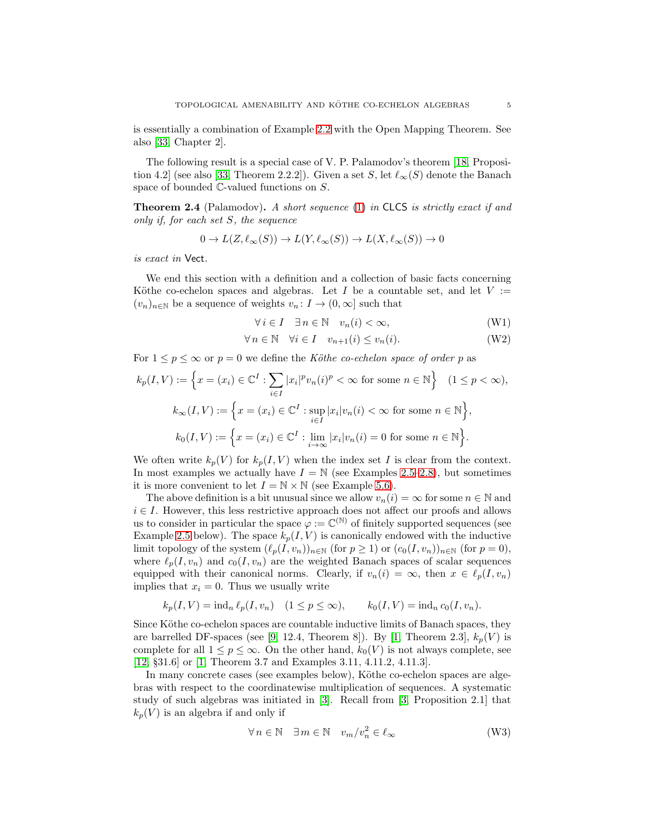is essentially a combination of Example [2.2](#page-3-1) with the Open Mapping Theorem. See also [\[33,](#page-19-9) Chapter 2].

The following result is a special case of V. P. Palamodov's theorem [\[18,](#page-19-10) Proposi-tion 4.2] (see also [\[33,](#page-19-9) Theorem 2.2.2]). Given a set S, let  $\ell_{\infty}(S)$  denote the Banach space of bounded C-valued functions on S.

<span id="page-4-0"></span>Theorem 2.4 (Palamodov). *A short sequence* [\(1\)](#page-3-0) *in* CLCS *is strictly exact if and only if, for each set* S*, the sequence*

$$
0 \to L(Z, \ell_{\infty}(S)) \to L(Y, \ell_{\infty}(S)) \to L(X, \ell_{\infty}(S)) \to 0
$$

*is exact in* Vect*.*

We end this section with a definition and a collection of basic facts concerning Köthe co-echelon spaces and algebras. Let I be a countable set, and let  $V :=$  $(v_n)_{n\in\mathbb{N}}$  be a sequence of weights  $v_n: I \to (0,\infty]$  such that

$$
\forall i \in I \quad \exists n \in \mathbb{N} \quad v_n(i) < \infty,\tag{W1}
$$

$$
\forall n \in \mathbb{N} \quad \forall i \in I \quad v_{n+1}(i) \le v_n(i). \tag{W2}
$$

For  $1 \leq p \leq \infty$  or  $p = 0$  we define the *Köthe co-echelon space of order* p as

$$
k_p(I, V) := \left\{ x = (x_i) \in \mathbb{C}^I : \sum_{i \in I} |x_i|^p v_n(i)^p < \infty \text{ for some } n \in \mathbb{N} \right\} \quad (1 \le p < \infty),
$$
\n
$$
k_\infty(I, V) := \left\{ x = (x_i) \in \mathbb{C}^I : \sup_{i \in I} |x_i| v_n(i) < \infty \text{ for some } n \in \mathbb{N} \right\},
$$
\n
$$
k_0(I, V) := \left\{ x = (x_i) \in \mathbb{C}^I : \lim_{i \to \infty} |x_i| v_n(i) = 0 \text{ for some } n \in \mathbb{N} \right\}.
$$

We often write  $k_p(V)$  for  $k_p(I, V)$  when the index set I is clear from the context. In most examples we actually have  $I = N$  (see Examples [2.5–](#page-5-0)[2.8\)](#page-5-1), but sometimes it is more convenient to let  $I = \mathbb{N} \times \mathbb{N}$  (see Example [5.6\)](#page-16-0).

The above definition is a bit unusual since we allow  $v_n(i) = \infty$  for some  $n \in \mathbb{N}$  and  $i \in I$ . However, this less restrictive approach does not affect our proofs and allows us to consider in particular the space  $\varphi := \mathbb{C}^{(\mathbb{N})}$  of finitely supported sequences (see Example [2.5](#page-5-0) below). The space  $k_p(I, V)$  is canonically endowed with the inductive limit topology of the system  $(\ell_p(I, v_n))_{n \in \mathbb{N}}$  (for  $p \ge 1$ ) or  $(c_0(I, v_n))_{n \in \mathbb{N}}$  (for  $p = 0$ ), where  $\ell_p(I, v_n)$  and  $c_0(I, v_n)$  are the weighted Banach spaces of scalar sequences equipped with their canonical norms. Clearly, if  $v_n(i) = \infty$ , then  $x \in \ell_p(I, v_n)$ implies that  $x_i = 0$ . Thus we usually write

$$
k_p(I, V) = \text{ind}_n \ell_p(I, v_n) \quad (1 \le p \le \infty), \qquad k_0(I, V) = \text{ind}_n c_0(I, v_n).
$$

Since Köthe co-echelon spaces are countable inductive limits of Banach spaces, they are barrelled DF-spaces (see [\[9,](#page-18-10) 12.4, Theorem 8]). By [\[1,](#page-18-11) Theorem 2.3],  $k_p(V)$  is complete for all  $1 \leq p \leq \infty$ . On the other hand,  $k_0(V)$  is not always complete, see [\[12,](#page-18-8) §31.6] or [\[1,](#page-18-11) Theorem 3.7 and Examples 3.11, 4.11.2, 4.11.3].

In many concrete cases (see examples below), Köthe co-echelon spaces are algebras with respect to the coordinatewise multiplication of sequences. A systematic study of such algebras was initiated in [\[3\]](#page-18-12). Recall from [\[3,](#page-18-12) Proposition 2.1] that  $k_p(V)$  is an algebra if and only if

$$
\forall n \in \mathbb{N} \quad \exists m \in \mathbb{N} \quad v_m/v_n^2 \in \ell_\infty \tag{W3}
$$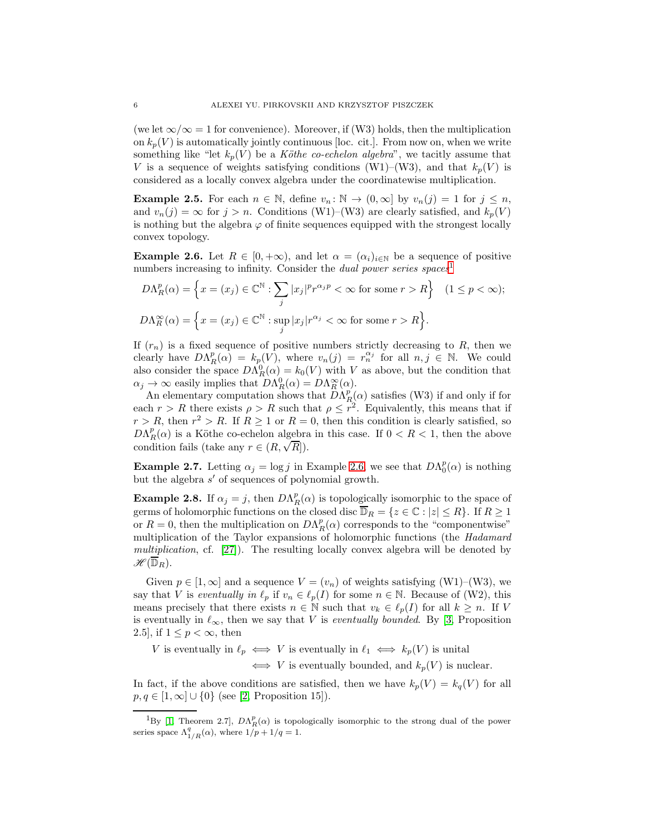(we let  $\infty/\infty = 1$  for convenience). Moreover, if (W3) holds, then the multiplication on  $k_p(V)$  is automatically jointly continuous [loc. cit.]. From now on, when we write something like "let  $k_p(V)$  be a *Köthe co-echelon algebra*", we tacitly assume that V is a sequence of weights satisfying conditions (W1)–(W3), and that  $k_p(V)$  is considered as a locally convex algebra under the coordinatewise multiplication.

<span id="page-5-0"></span>**Example 2.5.** For each  $n \in \mathbb{N}$ , define  $v_n : \mathbb{N} \to (0, \infty]$  by  $v_n(j) = 1$  for  $j \leq n$ , and  $v_n(j) = \infty$  for  $j > n$ . Conditions (W1)–(W3) are clearly satisfied, and  $k_p(V)$ is nothing but the algebra  $\varphi$  of finite sequences equipped with the strongest locally convex topology.

<span id="page-5-3"></span>**Example 2.6.** Let  $R \in [0, +\infty)$ , and let  $\alpha = (\alpha_i)_{i \in \mathbb{N}}$  be a sequence of positive numbers increasing to infinity. Consider the *dual power series spaces*<sup>[1](#page-5-2)</sup>

$$
D\Lambda_R^p(\alpha) = \left\{ x = (x_j) \in \mathbb{C}^{\mathbb{N}} : \sum_j |x_j|^p r^{\alpha_j p} < \infty \text{ for some } r > R \right\} \quad (1 \le p < \infty);
$$
\n
$$
D\Lambda_R^{\infty}(\alpha) = \left\{ x = (x_j) \in \mathbb{C}^{\mathbb{N}} : \sup_j |x_j| r^{\alpha_j} < \infty \text{ for some } r > R \right\}.
$$

If  $(r_n)$  is a fixed sequence of positive numbers strictly decreasing to R, then we clearly have  $D\Lambda_R^p(\alpha) = k_p(V)$ , where  $v_n(j) = r_n^{\alpha_j}$  for all  $n, j \in \mathbb{N}$ . We could also consider the space  $D\Lambda_R^0(\alpha) = k_0(V)$  with V as above, but the condition that  $\alpha_j \to \infty$  easily implies that  $D\Lambda_R^0(\alpha) = D\Lambda_R^{\infty}(\alpha)$ .

An elementary computation shows that  $\overline{D}\Lambda_R^p(\alpha)$  satisfies (W3) if and only if for each  $r > R$  there exists  $\rho > R$  such that  $\rho \leq r^2$ . Equivalently, this means that if  $r > R$ , then  $r^2 > R$ . If  $R \ge 1$  or  $R = 0$ , then this condition is clearly satisfied, so  $D\Lambda_R^p(\alpha)$  is a Köthe co-echelon algebra in this case. If  $0 < R < 1$ , then the above condition fails (take any  $r \in (R, \sqrt{R})$ ).

<span id="page-5-4"></span>**Example 2.7.** Letting  $\alpha_j = \log j$  in Example [2.6,](#page-5-3) we see that  $D\Lambda_0^p(\alpha)$  is nothing but the algebra s ′ of sequences of polynomial growth.

<span id="page-5-1"></span>**Example 2.8.** If  $\alpha_j = j$ , then  $DA_R^p(\alpha)$  is topologically isomorphic to the space of germs of holomorphic functions on the closed disc  $\overline{\mathbb{D}}_R = \{z \in \mathbb{C} : |z| \leq R\}$ . If  $R \geq 1$ or  $R = 0$ , then the multiplication on  $D\Lambda_R^p(\alpha)$  corresponds to the "componentwise" multiplication of the Taylor expansions of holomorphic functions (the *Hadamard multiplication*, cf. [\[27\]](#page-19-11)). The resulting locally convex algebra will be denoted by  $\mathscr{H}(\overline{\mathbb{D}}_R).$ 

Given  $p \in [1, \infty]$  and a sequence  $V = (v_n)$  of weights satisfying (W1)–(W3), we say that V is *eventually in*  $\ell_p$  if  $v_n \in \ell_p(I)$  for some  $n \in \mathbb{N}$ . Because of (W2), this means precisely that there exists  $n \in \mathbb{N}$  such that  $v_k \in \ell_p(I)$  for all  $k \geq n$ . If V is eventually in  $\ell_{\infty}$ , then we say that V is *eventually bounded*. By [\[3,](#page-18-12) Proposition 2.5], if  $1 \leq p < \infty$ , then

V is eventually in  $\ell_p \iff V$  is eventually in  $\ell_1 \iff k_p(V)$  is unital

 $\iff V$  is eventually bounded, and  $k_p(V)$  is nuclear.

In fact, if the above conditions are satisfied, then we have  $k_p(V) = k_q(V)$  for all  $p, q \in [1, \infty] \cup \{0\}$  (see [\[2,](#page-18-13) Proposition 15]).

<span id="page-5-2"></span><sup>&</sup>lt;sup>1</sup>By [\[1,](#page-18-11) Theorem 2.7],  $D\Lambda_R^p(\alpha)$  is topologically isomorphic to the strong dual of the power series space  $\Lambda_{1/R}^q(\alpha)$ , where  $1/p + 1/q = 1$ .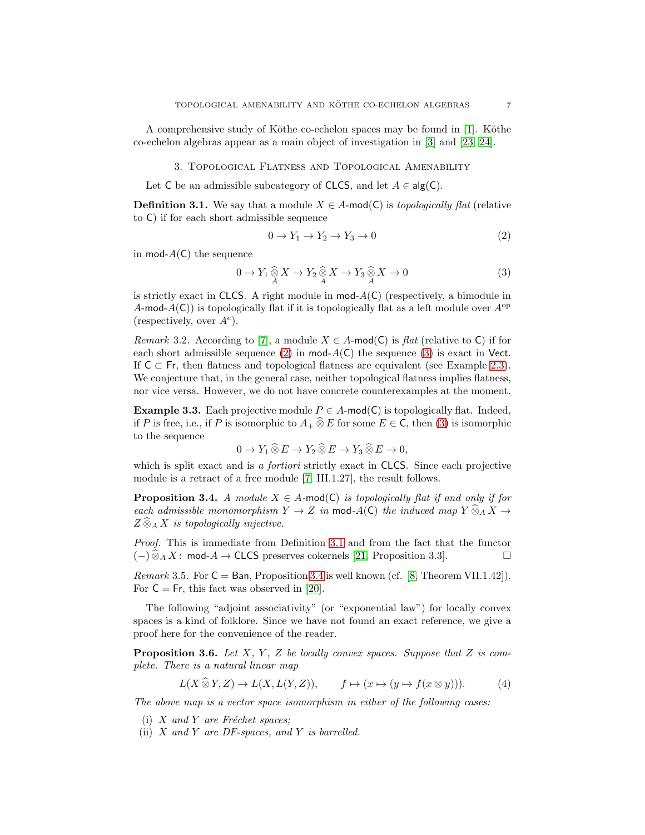<span id="page-6-0"></span>A comprehensive study of Köthe co-echelon spaces may be found in  $[1]$ . Köthe co-echelon algebras appear as a main object of investigation in [\[3\]](#page-18-12) and [\[23,](#page-19-0) [24\]](#page-19-1).

3. Topological Flatness and Topological Amenability

Let C be an admissible subcategory of CLCS, and let  $A \in \mathsf{alg}(\mathsf{C})$ .

<span id="page-6-3"></span>**Definition 3.1.** We say that a module  $X \in A$ -mod(C) is *topologically flat* (relative to C) if for each short admissible sequence

<span id="page-6-1"></span>
$$
0 \to Y_1 \to Y_2 \to Y_3 \to 0 \tag{2}
$$

in mod- $A(\mathsf{C})$  the sequence

<span id="page-6-2"></span>
$$
0 \to Y_1 \underset{A}{\widehat{\otimes}} X \to Y_2 \underset{A}{\widehat{\otimes}} X \to Y_3 \underset{A}{\widehat{\otimes}} X \to 0 \tag{3}
$$

is strictly exact in CLCS. A right module in  $\text{mod-}A(C)$  (respectively, a bimodule in A-mod- $A(C)$ ) is topologically flat if it is topologically flat as a left module over  $A^{op}$ (respectively, over  $A^e$ ).

<span id="page-6-7"></span>*Remark* 3.2*.* According to [\[7\]](#page-18-7), a module  $X \in A$ -mod(C) is *flat* (relative to C) if for each short admissible sequence [\(2\)](#page-6-1) in mod- $A(C)$  the sequence [\(3\)](#page-6-2) is exact in Vect. If  $C \subset Fr$ , then flatness and topological flatness are equivalent (see Example [2.3\)](#page-3-2). We conjecture that, in the general case, neither topological flatness implies flatness, nor vice versa. However, we do not have concrete counterexamples at the moment.

<span id="page-6-8"></span>**Example 3.3.** Each projective module  $P \in A$ -mod(C) is topologically flat. Indeed, if P is free, i.e., if P is isomorphic to  $A_+\hat{\otimes} E$  for some  $E\in\mathsf{C}$ , then [\(3\)](#page-6-2) is isomorphic to the sequence

$$
0 \to Y_1 \widehat{\otimes} E \to Y_2 \widehat{\otimes} E \to Y_3 \widehat{\otimes} E \to 0,
$$

which is split exact and is *a fortiori* strictly exact in CLCS. Since each projective module is a retract of a free module [\[7,](#page-18-7) III.1.27], the result follows.

<span id="page-6-4"></span>**Proposition 3.4.** *A module*  $X \in A$ -mod(C) *is topologically flat if and only if for each admissible monomorphism*  $Y \to Z$  *in* mod-A(C) *the induced map*  $Y \widehat{\otimes}_A X \to$  $Z \widehat{\otimes}_A X$  *is topologically injective.* 

*Proof.* This is immediate from Definition [3.1](#page-6-3) and from the fact that the functor  $(-) \widehat{\otimes}_A X$ : mod-A → CLCS preserves cokernels [\[21,](#page-19-12) Proposition 3.3].

*Remark* 3.5. For  $C = Ban$ , Proposition [3.4](#page-6-4) is well known (cf. [\[8,](#page-18-14) Theorem VII.1.42]). For  $C = Fr$ , this fact was observed in [\[20\]](#page-19-4).

The following "adjoint associativity" (or "exponential law") for locally convex spaces is a kind of folklore. Since we have not found an exact reference, we give a proof here for the convenience of the reader.

<span id="page-6-6"></span>Proposition 3.6. Let X, Y, Z be locally convex spaces. Suppose that Z is com*plete. There is a natural linear map*

<span id="page-6-5"></span>
$$
L(X \widehat{\otimes} Y, Z) \to L(X, L(Y, Z)), \qquad f \mapsto (x \mapsto (y \mapsto f(x \otimes y))). \tag{4}
$$

*The above map is a vector space isomorphism in either of the following cases:*

- (i)  $X$  *and*  $Y$  *are Fréchet spaces;*
- (ii) X *and* Y *are DF-spaces, and* Y *is barrelled.*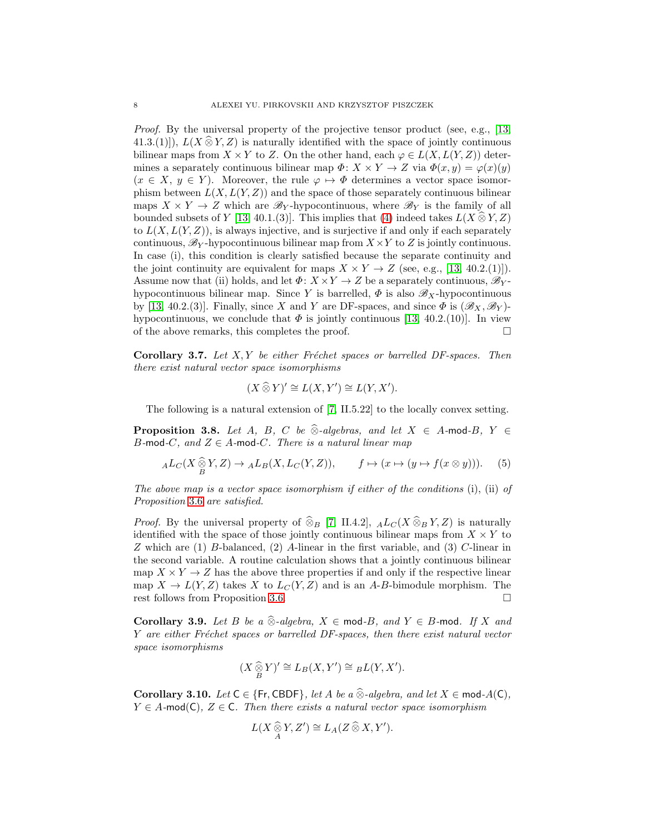*Proof.* By the universal property of the projective tensor product (see, e.g., [\[13,](#page-18-9) 41.3.(1)]),  $L(X \widehat{\otimes} Y, Z)$  is naturally identified with the space of jointly continuous bilinear maps from  $X \times Y$  to Z. On the other hand, each  $\varphi \in L(X, L(Y, Z))$  determines a separately continuous bilinear map  $\Phi: X \times Y \to Z$  via  $\Phi(x, y) = \varphi(x)(y)$  $(x \in X, y \in Y)$ . Moreover, the rule  $\varphi \mapsto \Phi$  determines a vector space isomorphism between  $L(X, L(Y, Z))$  and the space of those separately continuous bilinear maps  $X \times Y \to Z$  which are  $\mathscr{B}_Y$ -hypocontinuous, where  $\mathscr{B}_Y$  is the family of all bounded subsets of Y [\[13,](#page-18-9) 40.1.(3)]. This implies that [\(4\)](#page-6-5) indeed takes  $L(X \otimes Y, Z)$ to  $L(X, L(Y, Z))$ , is always injective, and is surjective if and only if each separately continuous,  $\mathcal{B}_Y$ -hypocontinuous bilinear map from  $X \times Y$  to Z is jointly continuous. In case (i), this condition is clearly satisfied because the separate continuity and the joint continuity are equivalent for maps  $X \times Y \to Z$  (see, e.g., [\[13,](#page-18-9) 40.2.(1)]). Assume now that (ii) holds, and let  $\Phi: X \times Y \to Z$  be a separately continuous,  $\mathscr{B}_{Y}$ hypocontinuous bilinear map. Since Y is barrelled,  $\Phi$  is also  $\mathscr{B}_X$ -hypocontinuous by [\[13,](#page-18-9) 40.2.(3)]. Finally, since X and Y are DF-spaces, and since  $\Phi$  is  $(\mathscr{B}_X, \mathscr{B}_Y)$ hypocontinuous, we conclude that  $\Phi$  is jointly continuous [\[13,](#page-18-9) 40.2.(10)]. In view of the above remarks, this completes the proof.

<span id="page-7-0"></span>Corollary 3.7. Let X, Y be either Fréchet spaces or barrelled DF-spaces. Then *there exist natural vector space isomorphisms*

$$
(X \widehat{\otimes} Y)' \cong L(X, Y') \cong L(Y, X').
$$

The following is a natural extension of [\[7,](#page-18-7) II.5.22] to the locally convex setting.

**Proposition 3.8.** *Let* A, B, C *be*  $\widehat{\otimes}$ *-algebras, and let*  $X \in A$ -mod-B,  $Y \in$ B-mod-C, and  $Z \in A$ -mod-C. There is a natural linear map

$$
_{A}L_{C}(X \underset{B}{\widehat{\otimes}} Y, Z) \to {}_{A}L_{B}(X, L_{C}(Y, Z)), \qquad f \mapsto (x \mapsto (y \mapsto f(x \otimes y))). \tag{5}
$$

*The above map is a vector space isomorphism if either of the conditions* (i), (ii) *of Proposition* [3.6](#page-6-6) *are satisfied.*

*Proof.* By the universal property of  $\hat{\otimes}_B$  [\[7,](#page-18-7) II.4.2],  $_{A}L_C(X\hat{\otimes}_B Y, Z)$  is naturally identified with the space of those jointly continuous bilinear maps from  $X \times Y$  to Z which are (1) B-balanced, (2) A-linear in the first variable, and (3) C-linear in the second variable. A routine calculation shows that a jointly continuous bilinear map  $X \times Y \to Z$  has the above three properties if and only if the respective linear map  $X \to L(Y, Z)$  takes X to  $L_C(Y, Z)$  and is an A-B-bimodule morphism. The rest follows from Proposition 3.6. rest follows from Proposition [3.6.](#page-6-6)

<span id="page-7-1"></span>Corollary 3.9. *Let* B *be a*  $\widehat{\otimes}$ *-algebra,*  $X \in \text{mod } B$ *, and*  $Y \in B$ -mod. If X and Y are either Fréchet spaces or barrelled DF-spaces, then there exist natural vector *space isomorphisms*

$$
(X \mathop{\widehat{\otimes}}_{B} Y)' \cong L_B(X, Y') \cong {}_B L(Y, X').
$$

<span id="page-7-2"></span>Corollary 3.10. *Let*  $C \in \{Fr, CBDF\}$ *, let* A *be a*  $\widehat{\otimes}$ *-algebra, and let*  $X \in \text{mod-}A(C)$ *,*  $Y \in A$ -mod(C),  $Z \in C$ *. Then there exists a natural vector space isomorphism* 

$$
L(X \underset{A}{\widehat{\otimes}} Y, Z') \cong L_A(Z \widehat{\otimes} X, Y').
$$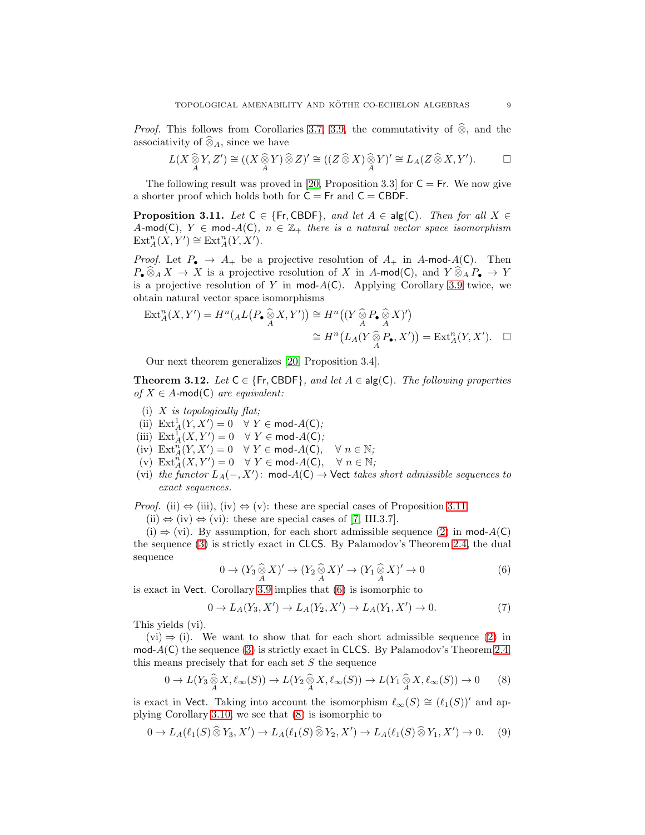*Proof.* This follows from Corollaries [3.7,](#page-7-0) [3.9,](#page-7-1) the commutativity of  $\hat{\otimes}$ , and the associativity of  $\widehat{\otimes}_A$ , since we have

$$
L(X \underset{A}{\widehat{\otimes}} Y, Z') \cong ((X \underset{A}{\widehat{\otimes}} Y) \widehat{\otimes} Z)' \cong ((Z \widehat{\otimes} X) \underset{A}{\widehat{\otimes}} Y)' \cong L_A(Z \widehat{\otimes} X, Y'). \qquad \Box
$$

The following result was proved in [\[20,](#page-19-4) Proposition 3.3] for  $C = Fr$ . We now give a shorter proof which holds both for  $C = Fr$  and  $C = CBDF$ .

<span id="page-8-1"></span>**Proposition 3.11.** *Let*  $C \in \{Fr, CBDF\}$ *, and let*  $A \in \text{alg}(C)$ *. Then for all*  $X \in$ A-mod(C)*,*  $Y \in \text{mod-}A(C)$ *,*  $n \in \mathbb{Z}_+$  *there is a natural vector space isomorphism*  $\text{Ext}_{A}^{n}(X, Y') \cong \text{Ext}_{A}^{n}(Y, X').$ 

*Proof.* Let  $P_{\bullet} \rightarrow A_{+}$  be a projective resolution of  $A_{+}$  in A-mod-A(C). Then  $P_{\bullet} \widehat{\otimes}_A X \to X$  is a projective resolution of X in A-mod(C), and  $Y \widehat{\otimes}_A P_{\bullet} \to Y$ is a projective resolution of Y in mod- $A(C)$ . Applying Corollary [3.9](#page-7-1) twice, we obtain natural vector space isomorphisms

$$
\operatorname{Ext}_{A}^{n}(X, Y') = H^{n}(AL(P_{\bullet} \widehat{\otimes} X, Y')) \cong H^{n}((Y \widehat{\otimes} P_{\bullet} \widehat{\otimes} X)')
$$
  

$$
\cong H^{n}(L_{A}(Y \widehat{\otimes} P_{\bullet}, X')) = \operatorname{Ext}_{A}^{n}(Y, X'). \quad \Box
$$

Our next theorem generalizes [\[20,](#page-19-4) Proposition 3.4].

<span id="page-8-0"></span>**Theorem 3.12.** *Let*  $C \in \{Fr, CBDF\}$ *, and let*  $A \in \text{alg}(C)$ *. The following properties of*  $X \in A$ -mod(C) *are equivalent:* 

- (i) X *is topologically flat;*
- (ii)  $\text{Ext}_{A}^{1}(Y, X') = 0 \quad \forall \ Y \in \text{mod-}A(\mathsf{C});$
- (iii)  $\mathrm{Ext}^1_A(X, Y') = 0 \quad \forall \ Y \in \mathsf{mod} \ A(\mathsf{C});$
- $(iv) \operatorname{Ext}_{A}^{n}(Y,X') = 0 \quad \forall Y \in \text{mod } A(C), \quad \forall n \in \mathbb{N},$
- $(v)$  Ext<sup>n</sup><sub>A</sub> $(X, Y') = 0 \quad \forall Y \in \text{mod } A(C), \quad \forall n \in \mathbb{N}$ ;
- (vi) *the functor* <sup>L</sup>A(−, X′ ): mod*-*A(C) → Vect *takes short admissible sequences to exact sequences.*

*Proof.* (ii)  $\Leftrightarrow$  (iii), (iv)  $\Leftrightarrow$  (v): these are special cases of Proposition [3.11.](#page-8-1)

 $(ii) \Leftrightarrow (iv) \Leftrightarrow (vi)$ : these are special cases of [\[7,](#page-18-7) III.3.7].

 $(i) \Rightarrow (vi)$ . By assumption, for each short admissible sequence [\(2\)](#page-6-1) in mod- $A(C)$ the sequence [\(3\)](#page-6-2) is strictly exact in CLCS. By Palamodov's Theorem [2.4,](#page-4-0) the dual sequence

<span id="page-8-2"></span>
$$
0 \to (Y_3 \widehat{\otimes}_A X)' \to (Y_2 \widehat{\otimes}_A X)' \to (Y_1 \widehat{\otimes}_A X)' \to 0
$$
\n
$$
(6)
$$

is exact in Vect. Corollary [3.9](#page-7-1) implies that [\(6\)](#page-8-2) is isomorphic to

$$
0 \to L_A(Y_3, X') \to L_A(Y_2, X') \to L_A(Y_1, X') \to 0.
$$
 (7)

This yields (vi).

 $(vi) \Rightarrow (i)$ . We want to show that for each short admissible sequence [\(2\)](#page-6-1) in  $mod-A(C)$  the sequence [\(3\)](#page-6-2) is strictly exact in CLCS. By Palamodov's Theorem [2.4,](#page-4-0) this means precisely that for each set  $S$  the sequence

<span id="page-8-3"></span>
$$
0 \to L(Y_3 \widehat{\underset{A}{\otimes}} X, \ell_{\infty}(S)) \to L(Y_2 \widehat{\underset{A}{\otimes}} X, \ell_{\infty}(S)) \to L(Y_1 \widehat{\underset{A}{\otimes}} X, \ell_{\infty}(S)) \to 0
$$
 (8)

is exact in Vect. Taking into account the isomorphism  $\ell_{\infty}(S) \cong (\ell_1(S))'$  and applying Corollary [3.10,](#page-7-2) we see that [\(8\)](#page-8-3) is isomorphic to

<span id="page-8-4"></span>
$$
0 \to L_A(\ell_1(S) \widehat{\otimes} Y_3, X') \to L_A(\ell_1(S) \widehat{\otimes} Y_2, X') \to L_A(\ell_1(S) \widehat{\otimes} Y_1, X') \to 0. \tag{9}
$$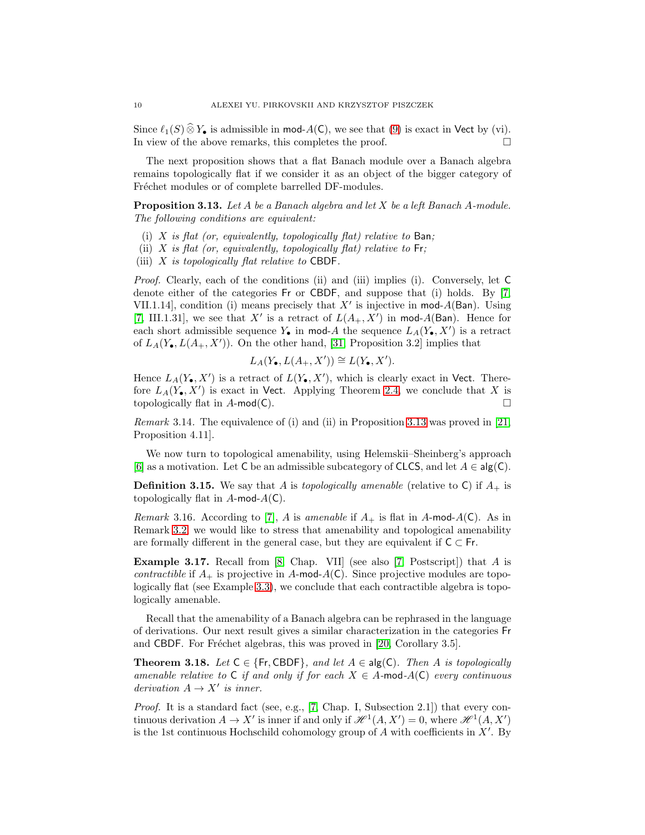Since  $\ell_1(S) \hat{\otimes} Y_{\bullet}$  is admissible in mod-A(C), we see that [\(9\)](#page-8-4) is exact in Vect by (vi).<br>In view of the above remarks, this completes the proof. In view of the above remarks, this completes the proof.

The next proposition shows that a flat Banach module over a Banach algebra remains topologically flat if we consider it as an object of the bigger category of Fréchet modules or of complete barrelled DF-modules.

<span id="page-9-1"></span>Proposition 3.13. *Let* A *be a Banach algebra and let* X *be a left Banach* A*-module. The following conditions are equivalent:*

- (i) X *is flat (or, equivalently, topologically flat) relative to* Ban*;*
- (ii) X *is flat (or, equivalently, topologically flat) relative to* Fr*;*
- (iii) X *is topologically flat relative to* CBDF*.*

*Proof.* Clearly, each of the conditions (ii) and (iii) implies (i). Conversely, let C denote either of the categories Fr or CBDF, and suppose that (i) holds. By [\[7,](#page-18-7) VII.1.14], condition (i) means precisely that  $X'$  is injective in mod- $A$ (Ban). Using [\[7,](#page-18-7) III.1.31], we see that X' is a retract of  $L(A_+, X')$  in mod-A(Ban). Hence for each short admissible sequence  $Y_{\bullet}$  in mod-A the sequence  $L_A(Y_{\bullet}, X')$  is a retract of  $L_A(Y_{\bullet}, L(A_+, X'))$ . On the other hand, [\[31,](#page-19-3) Proposition 3.2] implies that

$$
L_A(Y_\bullet, L(A_+, X')) \cong L(Y_\bullet, X').
$$

Hence  $L_A(Y_{\bullet}, X')$  is a retract of  $L(Y_{\bullet}, X')$ , which is clearly exact in Vect. Therefore  $L_A(Y_{\bullet}, X')$  is exact in Vect. Applying Theorem [2.4,](#page-4-0) we conclude that X is topologically flat in  $A$ -mod(C).

*Remark* 3.14*.* The equivalence of (i) and (ii) in Proposition [3.13](#page-9-1) was proved in [\[21,](#page-19-12) Proposition 4.11].

We now turn to topological amenability, using Helemskii–Sheinberg's approach [\[6\]](#page-18-1) as a motivation. Let C be an admissible subcategory of CLCS, and let  $A \in \mathsf{alg}(\mathsf{C})$ .

**Definition 3.15.** We say that A is *topologically amenable* (relative to C) if  $A_+$  is topologically flat in  $A$ -mod- $A(C)$ .

*Remark* 3.16*.* According to [\[7\]](#page-18-7), A is *amenable* if  $A_+$  is flat in A-mod-A(C). As in Remark [3.2,](#page-6-7) we would like to stress that amenability and topological amenability are formally different in the general case, but they are equivalent if  $C \subset F$ .

Example 3.17. Recall from [\[8,](#page-18-14) Chap. VII] (see also [\[7,](#page-18-7) Postscript]) that A is *contractible* if  $A_+$  is projective in A-mod- $A(C)$ . Since projective modules are topologically flat (see Example [3.3\)](#page-6-8), we conclude that each contractible algebra is topologically amenable.

Recall that the amenability of a Banach algebra can be rephrased in the language of derivations. Our next result gives a similar characterization in the categories Fr and CBDF. For Fréchet algebras, this was proved in [\[20,](#page-19-4) Corollary 3.5].

<span id="page-9-0"></span>**Theorem 3.18.** *Let*  $C \in \{Fr, CBDF\}$ *, and let*  $A \in \text{alg}(C)$ *. Then* A *is topologically amenable relative to*  $C$  *if and only if for each*  $X \in A$ -mod- $A(C)$  *every continuous derivation*  $A \rightarrow X'$  *is inner.* 

*Proof.* It is a standard fact (see, e.g., [\[7,](#page-18-7) Chap. I, Subsection 2.1]) that every continuous derivation  $A \to X'$  is inner if and only if  $\mathcal{H}^1(A, X') = 0$ , where  $\mathcal{H}^1(A, X')$ is the 1st continuous Hochschild cohomology group of  $A$  with coefficients in  $X'$ . By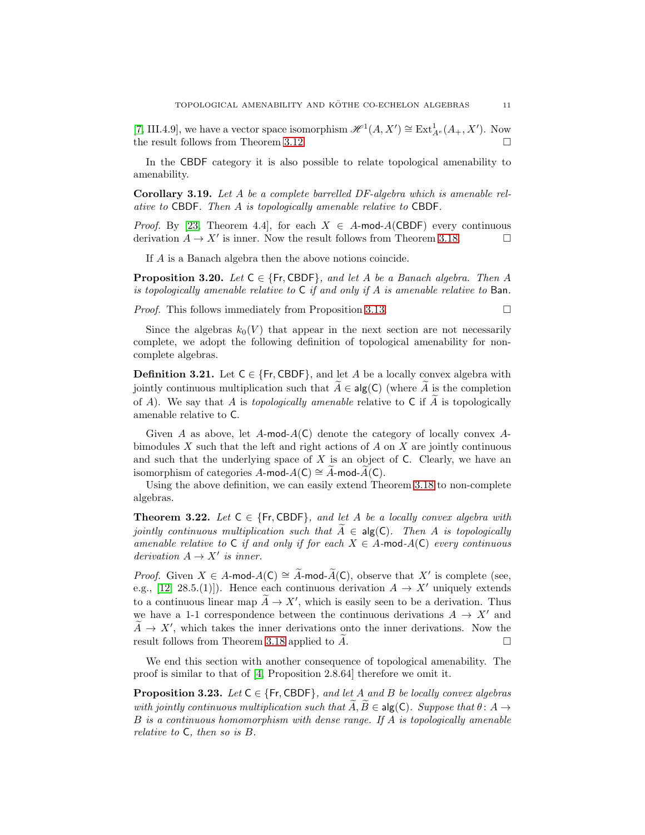[\[7,](#page-18-7) III.4.9], we have a vector space isomorphism  $\mathscr{H}^1(A, X') \cong \text{Ext}_{A^e}^1(A_+, X')$ . Now the result follows from Theorem [3.12.](#page-8-0)

In the CBDF category it is also possible to relate topological amenability to amenability.

<span id="page-10-2"></span>Corollary 3.19. *Let* A *be a complete barrelled DF-algebra which is amenable relative to* CBDF*. Then* A *is topologically amenable relative to* CBDF*.*

*Proof.* By [\[23,](#page-19-0) Theorem 4.4], for each  $X \in A$ -mod- $A(CBDF)$  every continuous derivation  $A \to X'$  is inner. Now the result follows from Theorem 3.18. derivation  $A \to X'$  is inner. Now the result follows from Theorem [3.18.](#page-9-0)

If A is a Banach algebra then the above notions coincide.

<span id="page-10-0"></span>**Proposition 3.20.** *Let*  $C \in \{Fr, CBDF\}$ *, and let A be a Banach algebra. Then A is topologically amenable relative to* C *if and only if* A *is amenable relative to* Ban*.*

*Proof.* This follows immediately from Proposition [3.13.](#page-9-1) □

Since the algebras  $k_0(V)$  that appear in the next section are not necessarily complete, we adopt the following definition of topological amenability for noncomplete algebras.

**Definition 3.21.** Let  $C \in \{Fr, CBDF\}$ , and let A be a locally convex algebra with jointly continuous multiplication such that  $\tilde{A} \in \text{alg}(\mathsf{C})$  (where  $\tilde{A}$  is the completion of A). We say that A is *topologically amenable* relative to C if  $\widetilde{A}$  is topologically amenable relative to C.

Given A as above, let  $A$ -mod- $A(C)$  denote the category of locally convex  $A$ bimodules  $X$  such that the left and right actions of  $A$  on  $X$  are jointly continuous and such that the underlying space of  $X$  is an object of  $C$ . Clearly, we have an isomorphism of categories A-mod- $A(C) \cong A$ -mod- $A(C)$ .

Using the above definition, we can easily extend Theorem [3.18](#page-9-0) to non-complete algebras.

**Theorem 3.22.** Let  $C \in \{Fr, CBDF\}$ , and let A be a locally convex algebra with *jointly continuous multiplication such that*  $A \in \text{alg}(\mathsf{C})$ *. Then* A *is topologically amenable relative to*  $C$  *if and only if for each*  $X \in A$ -mod- $A(C)$  *every continuous derivation*  $A \rightarrow X'$  *is inner.* 

*Proof.* Given  $X \in A$ -mod- $A(C) \cong \tilde{A}$ -mod- $\tilde{A}(C)$ , observe that X' is complete (see, e.g., [\[12,](#page-18-8) 28.5.(1)]). Hence each continuous derivation  $A \to X'$  uniquely extends to a continuous linear map  $\widetilde{A} \to X'$ , which is easily seen to be a derivation. Thus we have a 1-1 correspondence between the continuous derivations  $A \rightarrow X'$  and  $A \rightarrow X'$ , which takes the inner derivations onto the inner derivations. Now the result follows from Theorem [3.18](#page-9-0) applied to  $A$ .

We end this section with another consequence of topological amenability. The proof is similar to that of [\[4,](#page-18-5) Proposition 2.8.64] therefore we omit it.

<span id="page-10-1"></span>**Proposition 3.23.** *Let*  $C \in \{Fr, CBDF\}$ *, and let A and B be locally convex algebras with jointly continuous multiplication such that*  $A, B \in \text{alg}(\mathsf{C})$ *. Suppose that*  $\theta: A \rightarrow$ B *is a continuous homomorphism with dense range. If* A *is topologically amenable relative to* C*, then so is* B*.*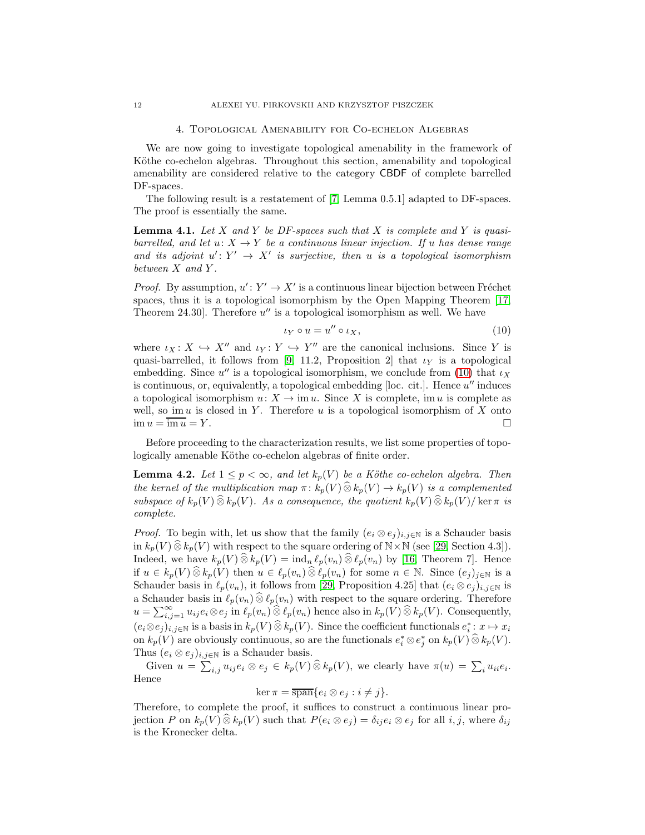#### 4. Topological Amenability for Co-echelon Algebras

<span id="page-11-0"></span>We are now going to investigate topological amenability in the framework of Köthe co-echelon algebras. Throughout this section, amenability and topological amenability are considered relative to the category CBDF of complete barrelled DF-spaces.

The following result is a restatement of [\[7,](#page-18-7) Lemma 0.5.1] adapted to DF-spaces. The proof is essentially the same.

<span id="page-11-3"></span>Lemma 4.1. *Let* X *and* Y *be DF-spaces such that* X *is complete and* Y *is quasibarrelled, and let*  $u: X \to Y$  *be a continuous linear injection. If* u *has dense range* and its adjoint  $u' \colon Y' \to X'$  is surjective, then u is a topological isomorphism *between* X *and* Y *.*

*Proof.* By assumption,  $u' : Y' \to X'$  is a continuous linear bijection between Fréchet spaces, thus it is a topological isomorphism by the Open Mapping Theorem [\[17,](#page-18-4) Theorem 24.30]. Therefore  $u''$  is a topological isomorphism as well. We have

<span id="page-11-1"></span>
$$
\iota_Y \circ u = u'' \circ \iota_X,\tag{10}
$$

where  $\iota_X \colon X \hookrightarrow X''$  and  $\iota_Y \colon Y \hookrightarrow Y''$  are the canonical inclusions. Since Y is quasi-barrelled, it follows from [\[9,](#page-18-10) 11.2, Proposition 2] that  $\iota_Y$  is a topological embedding. Since  $u''$  is a topological isomorphism, we conclude from [\(10\)](#page-11-1) that  $\iota_X$ is continuous, or, equivalently, a topological embedding [loc. cit.]. Hence  $u''$  induces a topological isomorphism  $u: X \to \text{im } u$ . Since X is complete, im u is complete as well, so im  $u$  is closed in Y. Therefore  $u$  is a topological isomorphism of X onto  $\lim u = \overline{\lim u} = Y.$ 

Before proceeding to the characterization results, we list some properties of topologically amenable Köthe co-echelon algebras of finite order.

<span id="page-11-2"></span>**Lemma 4.2.** *Let*  $1 \leq p < \infty$ *, and let*  $k_p(V)$  *be a Köthe co-echelon algebra. Then the kernel of the multiplication map*  $\pi: k_p(V) \widehat{\otimes} k_p(V) \rightarrow k_p(V)$  *is a complemented subspace of*  $k_p(V) \widehat{\otimes} k_p(V)$ *. As a consequence, the quotient*  $k_p(V) \widehat{\otimes} k_p(V) / \text{ker } \pi$  *is complete.*

*Proof.* To begin with, let us show that the family  $(e_i \otimes e_j)_{i,j \in \mathbb{N}}$  is a Schauder basis in  $k_p(V) \widehat{\otimes} k_p(V)$  with respect to the square ordering of  $N \times N$  (see [\[29,](#page-19-13) Section 4.3]). Indeed, we have  $k_p(V) \widehat{\otimes} k_p(V) = \text{ind}_n \ell_p(v_n) \widehat{\otimes} \ell_p(v_n)$  by [\[16,](#page-18-15) Theorem 7]. Hence if  $u \in k_p(V) \widehat{\otimes} k_p(V)$  then  $u \in \ell_p(v_n) \widehat{\otimes} \ell_p(v_n)$  for some  $n \in \mathbb{N}$ . Since  $(e_j)_{j \in \mathbb{N}}$  is a Schauder basis in  $\ell_p(v_n)$ , it follows from [\[29,](#page-19-13) Proposition 4.25] that  $(e_i \otimes e_j)_{i,j\in\mathbb{N}}$  is a Schauder basis in  $\ell_p(v_n) \widehat{\otimes} \ell_p(v_n)$  with respect to the square ordering. Therefore  $u = \sum_{i,j=1}^{\infty} u_{ij} e_i \otimes e_j$  in  $\ell_p(v_n) \widehat{\otimes} \ell_p(v_n)$  hence also in  $k_p(V) \widehat{\otimes} k_p(V)$ . Consequently,  $(e_i \otimes e_j)_{i,j \in \mathbb{N}}$  is a basis in  $k_p(V) \widehat{\otimes} k_p(V)$ . Since the coefficient functionals  $e_i^* : x \mapsto x_i$ on  $k_p(V)$  are obviously continuous, so are the functionals  $e_i^* \otimes e_j^*$  on  $k_p(V) \widehat{\otimes} k_p(V)$ . Thus  $(e_i \otimes e_j)_{i,j \in \mathbb{N}}$  is a Schauder basis.

Given  $u = \sum_{i,j} u_{ij} e_i \otimes e_j \in k_p(V) \widehat{\otimes} k_p(V)$ , we clearly have  $\pi(u) = \sum_i u_{ii} e_i$ . Hence

$$
\ker \pi = \overline{\operatorname{span}}\{e_i \otimes e_j : i \neq j\}.
$$

Therefore, to complete the proof, it suffices to construct a continuous linear projection P on  $k_p(V) \otimes k_p(V)$  such that  $P(e_i \otimes e_j) = \delta_{ij} e_i \otimes e_j$  for all i, j, where  $\delta_{ij}$ is the Kronecker delta.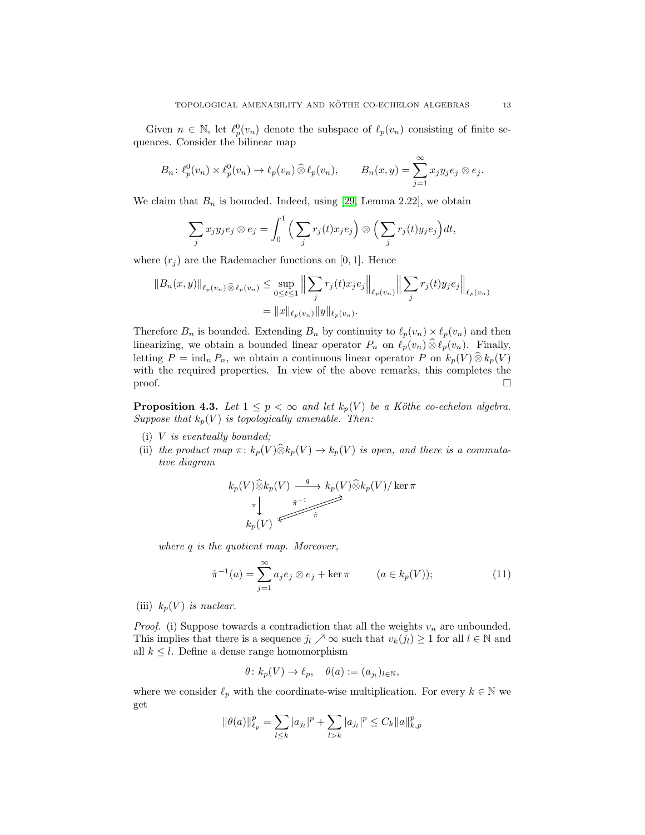Given  $n \in \mathbb{N}$ , let  $\ell_p^0(v_n)$  denote the subspace of  $\ell_p(v_n)$  consisting of finite sequences. Consider the bilinear map

$$
B_n: \ell_p^0(v_n) \times \ell_p^0(v_n) \to \ell_p(v_n) \widehat{\otimes} \ell_p(v_n), \qquad B_n(x, y) = \sum_{j=1}^{\infty} x_j y_j e_j \otimes e_j.
$$

We claim that  $B_n$  is bounded. Indeed, using [\[29,](#page-19-13) Lemma 2.22], we obtain

$$
\sum_j x_j y_j e_j \otimes e_j = \int_0^1 \left( \sum_j r_j(t) x_j e_j \right) \otimes \left( \sum_j r_j(t) y_j e_j \right) dt,
$$

where  $(r_i)$  are the Rademacher functions on [0, 1]. Hence

$$
||B_n(x,y)||_{\ell_p(v_n)} \otimes \ell_p(v_n) \le \sup_{0 \le t \le 1} \left\| \sum_j r_j(t)x_j e_j \right\|_{\ell_p(v_n)} \left\| \sum_j r_j(t)y_j e_j \right\|_{\ell_p(v_n)}
$$
  
=  $||x||_{\ell_p(v_n)} ||y||_{\ell_p(v_n)}$ .

Therefore  $B_n$  is bounded. Extending  $B_n$  by continuity to  $\ell_p(v_n) \times \ell_p(v_n)$  and then linearizing, we obtain a bounded linear operator  $P_n$  on  $\ell_p(v_n) \widehat{\otimes} \ell_p(v_n)$ . Finally, letting  $P = \text{ind}_n P_n$ , we obtain a continuous linear operator P on  $k_p(V) \widehat{\otimes} k_p(V)$ with the required properties. In view of the above remarks, this completes the  $\Box$ 

<span id="page-12-1"></span>**Proposition 4.3.** Let  $1 \leq p < \infty$  and let  $k_p(V)$  be a Köthe co-echelon algebra. *Suppose that*  $k_p(V)$  *is topologically amenable. Then:* 

- (i) V *is eventually bounded;*
- (ii) *the product map*  $\pi: k_p(V) \widehat{\otimes} k_p(V) \rightarrow k_p(V)$  *is open, and there is a commutative diagram*

$$
k_p(V)\widehat{\otimes} k_p(V) \xrightarrow{\ q \ } k_p(V)\widehat{\otimes} k_p(V)/\ker \pi
$$
  
\n
$$
\uparrow \qquad \qquad \uparrow
$$
  
\n
$$
k_p(V) \longleftarrow \widehat{\pi}
$$

*where* q *is the quotient map. Moreover,*

<span id="page-12-0"></span>
$$
\hat{\pi}^{-1}(a) = \sum_{j=1}^{\infty} a_j e_j \otimes e_j + \ker \pi \qquad (a \in k_p(V));
$$
\n(11)

(iii)  $k_p(V)$  *is nuclear.* 

*Proof.* (i) Suppose towards a contradiction that all the weights  $v_n$  are unbounded. This implies that there is a sequence  $j_l \nearrow \infty$  such that  $v_k(j_l) \geq 1$  for all  $l \in \mathbb{N}$  and all  $k \leq l$ . Define a dense range homomorphism

$$
\theta\colon k_p(V)\to \ell_p,\quad \theta(a):=(a_{j_l})_{l\in\mathbb{N}},
$$

where we consider  $\ell_p$  with the coordinate-wise multiplication. For every  $k \in \mathbb{N}$  we get

$$
\|\theta(a)\|_{\ell_p}^p = \sum_{l \le k} |a_{j_l}|^p + \sum_{l > k} |a_{j_l}|^p \le C_k \|a\|_{k,p}^p
$$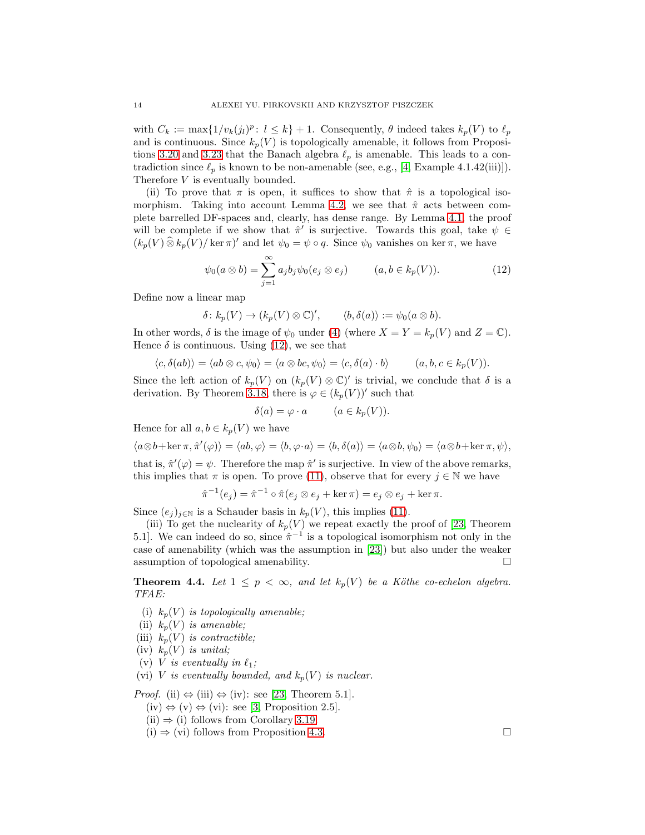with  $C_k := \max\{1/v_k(j_l)^p : l \leq k\} + 1$ . Consequently,  $\theta$  indeed takes  $k_p(V)$  to  $\ell_p$ and is continuous. Since  $k_p(V)$  is topologically amenable, it follows from Proposi-tions [3.20](#page-10-0) and [3.23](#page-10-1) that the Banach algebra  $\ell_p$  is amenable. This leads to a contradiction since  $\ell_p$  is known to be non-amenable (see, e.g., [\[4,](#page-18-5) Example 4.1.42(iii)]). Therefore V is eventually bounded.

(ii) To prove that  $\pi$  is open, it suffices to show that  $\hat{\pi}$  is a topological iso-morphism. Taking into account Lemma [4.2,](#page-11-2) we see that  $\hat{\pi}$  acts between complete barrelled DF-spaces and, clearly, has dense range. By Lemma [4.1,](#page-11-3) the proof will be complete if we show that  $\hat{\pi}'$  is surjective. Towards this goal, take  $\psi \in \mathbb{R}$  $(k_p(V) \widehat{\otimes} k_p(V) / \ker \pi)'$  and let  $\psi_0 = \psi \circ q$ . Since  $\psi_0$  vanishes on ker  $\pi$ , we have

<span id="page-13-1"></span>
$$
\psi_0(a\otimes b) = \sum_{j=1}^{\infty} a_j b_j \psi_0(e_j\otimes e_j) \qquad (a, b \in k_p(V)).
$$
 (12)

Define now a linear map

$$
\delta\colon k_p(V)\to (k_p(V)\otimes\mathbb{C})',\qquad \langle b,\delta(a)\rangle:=\psi_0(a\otimes b).
$$

In other words,  $\delta$  is the image of  $\psi_0$  under [\(4\)](#page-6-5) (where  $X = Y = k_p(V)$  and  $Z = \mathbb{C}$ ). Hence  $\delta$  is continuous. Using [\(12\)](#page-13-1), we see that

$$
\langle c, \delta(ab) \rangle = \langle ab \otimes c, \psi_0 \rangle = \langle a \otimes bc, \psi_0 \rangle = \langle c, \delta(a) \cdot b \rangle \qquad (a, b, c \in k_p(V)).
$$

Since the left action of  $k_p(V)$  on  $(k_p(V) \otimes \mathbb{C})'$  is trivial, we conclude that  $\delta$  is a derivation. By Theorem [3.18,](#page-9-0) there is  $\varphi \in (k_p(V))'$  such that

$$
\delta(a) = \varphi \cdot a \qquad (a \in k_p(V)).
$$

Hence for all  $a, b \in k_p(V)$  we have

$$
\langle a \otimes b + \ker \pi, \hat{\pi}'(\varphi) \rangle = \langle ab, \varphi \rangle = \langle b, \varphi \cdot a \rangle = \langle b, \delta(a) \rangle = \langle a \otimes b, \psi_0 \rangle = \langle a \otimes b + \ker \pi, \psi \rangle,
$$

that is,  $\hat{\pi}'(\varphi) = \psi$ . Therefore the map  $\hat{\pi}'$  is surjective. In view of the above remarks, this implies that  $\pi$  is open. To prove [\(11\)](#page-12-0), observe that for every  $j \in \mathbb{N}$  we have

$$
\hat{\pi}^{-1}(e_j) = \hat{\pi}^{-1} \circ \hat{\pi}(e_j \otimes e_j + \ker \pi) = e_j \otimes e_j + \ker \pi.
$$

Since  $(e_j)_{j\in\mathbb{N}}$  is a Schauder basis in  $k_p(V)$ , this implies [\(11\)](#page-12-0).

(iii) To get the nuclearity of  $k_p(V)$  we repeat exactly the proof of [\[23,](#page-19-0) Theorem 5.1]. We can indeed do so, since  $\hat{\pi}^{-1}$  is a topological isomorphism not only in the case of amenability (which was the assumption in [\[23\]](#page-19-0)) but also under the weaker assumption of topological amenability.

<span id="page-13-0"></span>**Theorem 4.4.** Let  $1 \leq p < \infty$ , and let  $k_p(V)$  be a Köthe co-echelon algebra. *TFAE:*

- (i)  $k_p(V)$  *is topologically amenable;*
- (ii)  $k_p(V)$  *is amenable;*
- (iii)  $k_p(V)$  *is contractible;*
- (iv)  $k_p(V)$  *is unital*;
- (v) *V* is eventually in  $\ell_1$ ;
- (vi) V *is eventually bounded, and*  $k_p(V)$  *is nuclear.*

*Proof.* (ii)  $\Leftrightarrow$  (iii)  $\Leftrightarrow$  (iv): see [\[23,](#page-19-0) Theorem 5.1].

- $(iv) \Leftrightarrow (v) \Leftrightarrow (vi):$  see [\[3,](#page-18-12) Proposition 2.5].
- $(ii) \Rightarrow (i)$  follows from Corollary [3.19.](#page-10-2)
- $(i) \Rightarrow (vi)$  follows from Proposition [4.3.](#page-12-1)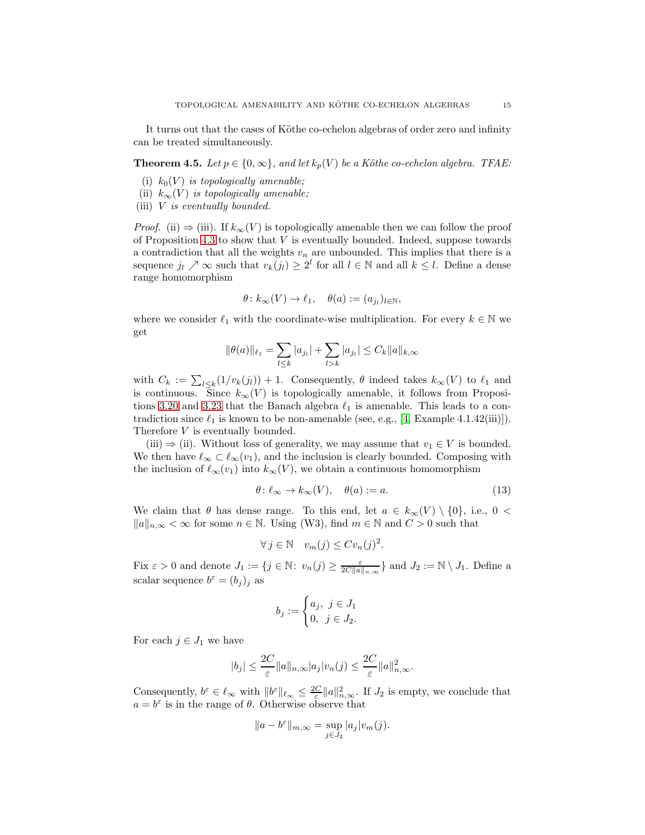It turns out that the cases of Köthe co-echelon algebras of order zero and infinity can be treated simultaneously.

<span id="page-14-0"></span>**Theorem 4.5.** *Let*  $p \in \{0, \infty\}$ *, and let*  $k_p(V)$  *be a Köthe co-echelon algebra. TFAE:* 

- (i)  $k_0(V)$  *is topologically amenable;*
- (ii)  $k_{\infty}(V)$  *is topologically amenable;*
- (iii) V *is eventually bounded.*

*Proof.* (ii)  $\Rightarrow$  (iii). If  $k_{\infty}(V)$  is topologically amenable then we can follow the proof of Proposition [4.3](#page-12-1) to show that  $V$  is eventually bounded. Indeed, suppose towards a contradiction that all the weights  $v_n$  are unbounded. This implies that there is a sequence  $j_l \nearrow \infty$  such that  $v_k(j_l) \geq 2^l$  for all  $l \in \mathbb{N}$  and all  $k \leq l$ . Define a dense range homomorphism

$$
\theta\colon k_{\infty}(V)\to \ell_1,\quad \theta(a):=(a_{j_l})_{l\in\mathbb{N}},
$$

where we consider  $\ell_1$  with the coordinate-wise multiplication. For every  $k \in \mathbb{N}$  we get

$$
\|\theta(a)\|_{\ell_1} = \sum_{l \le k} |a_{j_l}| + \sum_{l > k} |a_{j_l}| \le C_k \|a\|_{k,\infty}
$$

with  $C_k := \sum_{l \leq k} (1/v_k(j_l)) + 1$ . Consequently,  $\theta$  indeed takes  $k_{\infty}(V)$  to  $\ell_1$  and is continuous. Since  $k_{\infty}(V)$  is topologically amenable, it follows from Proposi-tions [3.20](#page-10-0) and [3.23](#page-10-1) that the Banach algebra  $\ell_1$  is amenable. This leads to a contradiction since  $\ell_1$  is known to be non-amenable (see, e.g., [\[4,](#page-18-5) Example 4.1.42(iii)]). Therefore V is eventually bounded.

(iii)  $\Rightarrow$  (ii). Without loss of generality, we may assume that  $v_1 \in V$  is bounded. We then have  $\ell_{\infty} \subset \ell_{\infty}(v_1)$ , and the inclusion is clearly bounded. Composing with the inclusion of  $\ell_{\infty}(v_1)$  into  $k_{\infty}(V)$ , we obtain a continuous homomorphism

<span id="page-14-1"></span>
$$
\theta \colon \ell_{\infty} \to k_{\infty}(V), \quad \theta(a) := a. \tag{13}
$$

We claim that  $\theta$  has dense range. To this end, let  $a \in k_{\infty}(V) \setminus \{0\}$ , i.e.,  $0 <$  $||a||_{n,\infty} < \infty$  for some  $n \in \mathbb{N}$ . Using (W3), find  $m \in \mathbb{N}$  and  $C > 0$  such that

$$
\forall j \in \mathbb{N} \quad v_m(j) \leq C v_n(j)^2.
$$

Fix  $\varepsilon > 0$  and denote  $J_1 := \{ j \in \mathbb{N} : v_n(j) \geq \frac{\varepsilon}{2C||a||_{n,\infty}} \}$  and  $J_2 := \mathbb{N} \setminus J_1$ . Define a scalar sequence  $b^{\varepsilon} = (b_j)_j$  as

$$
b_j:=\begin{cases} a_j, \ j\in J_1\\ 0, \ j\in J_2. \end{cases}
$$

For each  $j \in J_1$  we have

$$
|b_j| \le \frac{2C}{\varepsilon} ||a||_{n,\infty} |a_j| v_n(j) \le \frac{2C}{\varepsilon} ||a||_{n,\infty}^2.
$$

Consequently,  $b^{\varepsilon} \in \ell_{\infty}$  with  $||b^{\varepsilon}||_{\ell_{\infty}} \leq \frac{2C}{\varepsilon} ||a||_{n,\infty}^2$ . If  $J_2$  is empty, we conclude that  $a = b^{\varepsilon}$  is in the range of  $\theta$ . Otherwise observe that

$$
||a - b^{\varepsilon}||_{m,\infty} = \sup_{j \in J_2} |a_j| v_m(j).
$$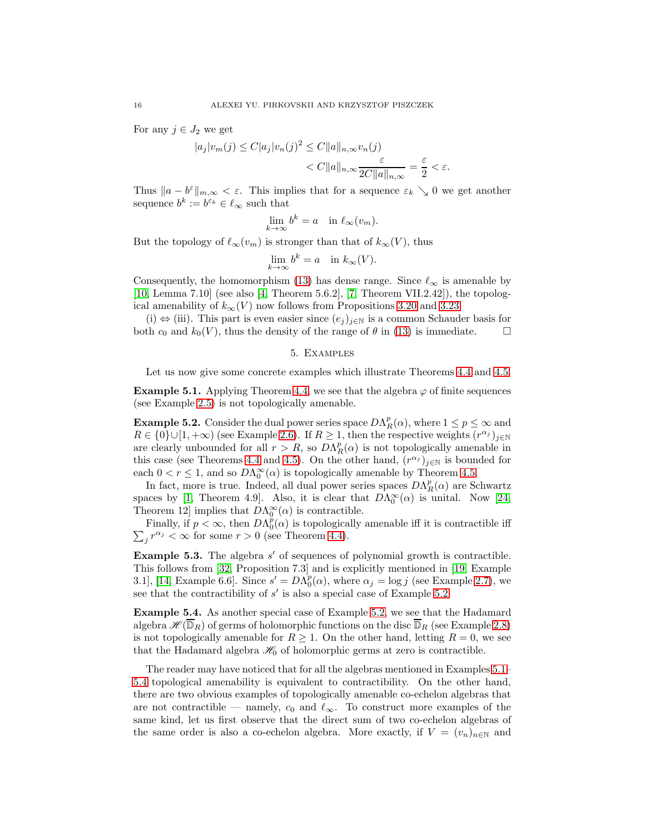For any  $j \in J_2$  we get

$$
|a_j|v_m(j) \le C|a_j|v_n(j)^2 \le C||a||_{n,\infty}v_n(j)
$$
  
< 
$$
< C||a||_{n,\infty} \frac{\varepsilon}{2C||a||_{n,\infty}} = \frac{\varepsilon}{2} < \varepsilon.
$$

Thus  $||a - b^{\varepsilon}||_{m,\infty} < \varepsilon$ . This implies that for a sequence  $\varepsilon_k \searrow 0$  we get another sequence  $b^k := b^{\varepsilon_k} \in \ell_\infty$  such that

$$
\lim_{k \to \infty} b^k = a \quad \text{in } \ell_\infty(v_m).
$$

But the topology of  $\ell_{\infty}(v_m)$  is stronger than that of  $k_{\infty}(V)$ , thus

$$
\lim_{k \to \infty} b^k = a \quad \text{in } k_\infty(V).
$$

Consequently, the homomorphism [\(13\)](#page-14-1) has dense range. Since  $\ell_{\infty}$  is amenable by [\[10,](#page-18-0) Lemma 7.10] (see also [\[4,](#page-18-5) Theorem 5.6.2], [\[7,](#page-18-7) Theorem VII.2.42]), the topological amenability of  $k_{\infty}(V)$  now follows from Propositions [3.20](#page-10-0) and [3.23.](#page-10-1)

<span id="page-15-0"></span>(i)  $\Leftrightarrow$  (iii). This part is even easier since  $(e_j)_{j\in\mathbb{N}}$  is a common Schauder basis for th  $c_0$  and  $k_0(V)$ , thus the density of the range of  $\theta$  in (13) is immediate. both  $c_0$  and  $k_0(V)$ , thus the density of the range of  $\theta$  in [\(13\)](#page-14-1) is immediate.

## 5. Examples

Let us now give some concrete examples which illustrate Theorems [4.4](#page-13-0) and [4.5.](#page-14-0)

<span id="page-15-2"></span>**Example 5.1.** Applying Theorem [4.4,](#page-13-0) we see that the algebra  $\varphi$  of finite sequences (see Example [2.5\)](#page-5-0) is not topologically amenable.

<span id="page-15-1"></span>**Example 5.2.** Consider the dual power series space  $DA_R^p(\alpha)$ , where  $1 \leq p \leq \infty$  and  $R \in \{0\} \cup [1, +\infty)$  (see Example [2.6\)](#page-5-3). If  $R \geq 1$ , then the respective weights  $(r^{\alpha_j})_{j \in \mathbb{N}}$ are clearly unbounded for all  $r > R$ , so  $D\Lambda_R^p(\alpha)$  is not topologically amenable in this case (see Theorems [4.4](#page-13-0) and [4.5\)](#page-14-0). On the other hand,  $(r^{\alpha_j})_{j\in\mathbb{N}}$  is bounded for each  $0 < r \leq 1$ , and so  $D\Lambda_0^{\infty}(\alpha)$  is topologically amenable by Theorem [4.5.](#page-14-0)

In fact, more is true. Indeed, all dual power series spaces  $D\Lambda_R^p(\alpha)$  are Schwartz spaces by [\[1,](#page-18-11) Theorem 4.9]. Also, it is clear that  $D\Lambda_0^{\infty}(\alpha)$  is unital. Now [\[24,](#page-19-1) Theorem 12] implies that  $D\Lambda_0^{\infty}(\alpha)$  is contractible.

Finally, if  $p < \infty$ , then  $DA_0^p(\alpha)$  is topologically amenable iff it is contractible iff  $\sum_j r^{\alpha_j} < \infty$  for some  $r > 0$  (see Theorem [4.4\)](#page-13-0).

**Example 5.3.** The algebra  $s'$  of sequences of polynomial growth is contractible. This follows from [\[32,](#page-19-14) Proposition 7.3] and is explicitly mentioned in [\[19,](#page-19-15) Example 3.1], [\[14,](#page-18-16) Example 6.6]. Since  $s' = D\Lambda_0^p(\alpha)$ , where  $\alpha_j = \log j$  (see Example [2.7\)](#page-5-4), we see that the contractibility of  $s'$  is also a special case of Example [5.2.](#page-15-1)

<span id="page-15-3"></span>Example 5.4. As another special case of Example [5.2,](#page-15-1) we see that the Hadamard algebra  $\mathscr{H}(\overline{\mathbb{D}}_R)$  of germs of holomorphic functions on the disc  $\overline{\mathbb{D}}_R$  (see Example [2.8\)](#page-5-1) is not topologically amenable for  $R \geq 1$ . On the other hand, letting  $R = 0$ , we see that the Hadamard algebra  $\mathcal{H}_0$  of holomorphic germs at zero is contractible.

The reader may have noticed that for all the algebras mentioned in Examples [5.1–](#page-15-2) [5.4](#page-15-3) topological amenability is equivalent to contractibility. On the other hand, there are two obvious examples of topologically amenable co-echelon algebras that are not contractible — namely,  $c_0$  and  $\ell_{\infty}$ . To construct more examples of the same kind, let us first observe that the direct sum of two co-echelon algebras of the same order is also a co-echelon algebra. More exactly, if  $V = (v_n)_{n \in \mathbb{N}}$  and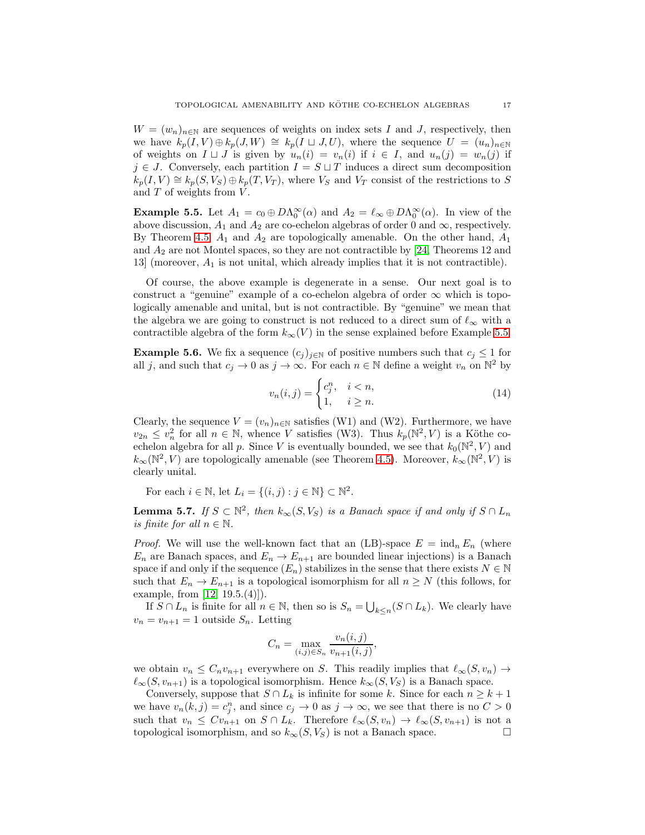$W = (w_n)_{n \in \mathbb{N}}$  are sequences of weights on index sets I and J, respectively, then we have  $k_p(I, V) \oplus k_p(J, W) \cong k_p(I \sqcup J, U)$ , where the sequence  $U = (u_n)_{n \in \mathbb{N}}$ of weights on  $I \sqcup J$  is given by  $u_n(i) = v_n(i)$  if  $i \in I$ , and  $u_n(j) = w_n(j)$  if  $j \in J$ . Conversely, each partition  $I = S \sqcup T$  induces a direct sum decomposition  $k_p(I, V) \cong k_p(S, V_S) \oplus k_p(T, V_T)$ , where  $V_S$  and  $V_T$  consist of the restrictions to S and  $T$  of weights from  $V$ .

<span id="page-16-1"></span>**Example 5.5.** Let  $A_1 = c_0 \oplus D\Lambda_0^{\infty}(\alpha)$  and  $A_2 = \ell_{\infty} \oplus D\Lambda_0^{\infty}(\alpha)$ . In view of the above discussion,  $A_1$  and  $A_2$  are co-echelon algebras of order 0 and  $\infty$ , respectively. By Theorem [4.5,](#page-14-0)  $A_1$  and  $A_2$  are topologically amenable. On the other hand,  $A_1$ and  $A_2$  are not Montel spaces, so they are not contractible by [\[24,](#page-19-1) Theorems 12 and 13] (moreover,  $A_1$  is not unital, which already implies that it is not contractible).

Of course, the above example is degenerate in a sense. Our next goal is to construct a "genuine" example of a co-echelon algebra of order  $\infty$  which is topologically amenable and unital, but is not contractible. By "genuine" we mean that the algebra we are going to construct is not reduced to a direct sum of  $\ell_{\infty}$  with a contractible algebra of the form  $k_{\infty}(V)$  in the sense explained before Example [5.5.](#page-16-1)

<span id="page-16-0"></span>**Example 5.6.** We fix a sequence  $(c_j)_{j\in\mathbb{N}}$  of positive numbers such that  $c_j \leq 1$  for all j, and such that  $c_j \to 0$  as  $j \to \infty$ . For each  $n \in \mathbb{N}$  define a weight  $v_n$  on  $\mathbb{N}^2$  by

<span id="page-16-3"></span>
$$
v_n(i,j) = \begin{cases} c_j^n, & i < n, \\ 1, & i \ge n. \end{cases} \tag{14}
$$

Clearly, the sequence  $V = (v_n)_{n \in \mathbb{N}}$  satisfies (W1) and (W2). Furthermore, we have  $v_{2n} \leq v_n^2$  for all  $n \in \mathbb{N}$ , whence V satisfies (W3). Thus  $k_p(\mathbb{N}^2, V)$  is a Köthe coechelon algebra for all p. Since V is eventually bounded, we see that  $k_0(\mathbb{N}^2, V)$  and  $k_{\infty}(\mathbb{N}^2, V)$  are topologically amenable (see Theorem [4.5\)](#page-14-0). Moreover,  $k_{\infty}(\mathbb{N}^2, V)$  is clearly unital.

For each  $i \in \mathbb{N}$ , let  $L_i = \{(i, j) : j \in \mathbb{N}\} \subset \mathbb{N}^2$ .

<span id="page-16-2"></span>**Lemma 5.7.** *If*  $S \subset \mathbb{N}^2$ , then  $k_{\infty}(S, V_S)$  *is a Banach space if and only if*  $S \cap L_n$ *is finite for all*  $n \in \mathbb{N}$ *.* 

*Proof.* We will use the well-known fact that an (LB)-space  $E = \text{ind}_n E_n$  (where  $E_n$  are Banach spaces, and  $E_n \to E_{n+1}$  are bounded linear injections) is a Banach space if and only if the sequence  $(E_n)$  stabilizes in the sense that there exists  $N \in \mathbb{N}$ such that  $E_n \to E_{n+1}$  is a topological isomorphism for all  $n \geq N$  (this follows, for example, from [\[12,](#page-18-8) 19.5.(4)]).

If  $S \cap L_n$  is finite for all  $n \in \mathbb{N}$ , then so is  $S_n = \bigcup_{k \leq n} (S \cap L_k)$ . We clearly have  $v_n = v_{n+1} = 1$  outside  $S_n$ . Letting

$$
C_n = \max_{(i,j) \in S_n} \frac{v_n(i,j)}{v_{n+1}(i,j)},
$$

we obtain  $v_n \leq C_n v_{n+1}$  everywhere on S. This readily implies that  $\ell_\infty(S, v_n) \to$  $\ell_{\infty}(S, v_{n+1})$  is a topological isomorphism. Hence  $k_{\infty}(S, V_S)$  is a Banach space.

Conversely, suppose that  $S \cap L_k$  is infinite for some k. Since for each  $n \geq k+1$ we have  $v_n(k, j) = c_j^n$ , and since  $c_j \to 0$  as  $j \to \infty$ , we see that there is no  $C > 0$ such that  $v_n \leq C v_{n+1}$  on  $S \cap L_k$ . Therefore  $\ell_{\infty}(S, v_n) \to \ell_{\infty}(S, v_{n+1})$  is not a topological isomorphism, and so  $k_{\infty}(S, V_S)$  is not a Banach space. topological isomorphism, and so  $k_{\infty}(S, V_S)$  is not a Banach space.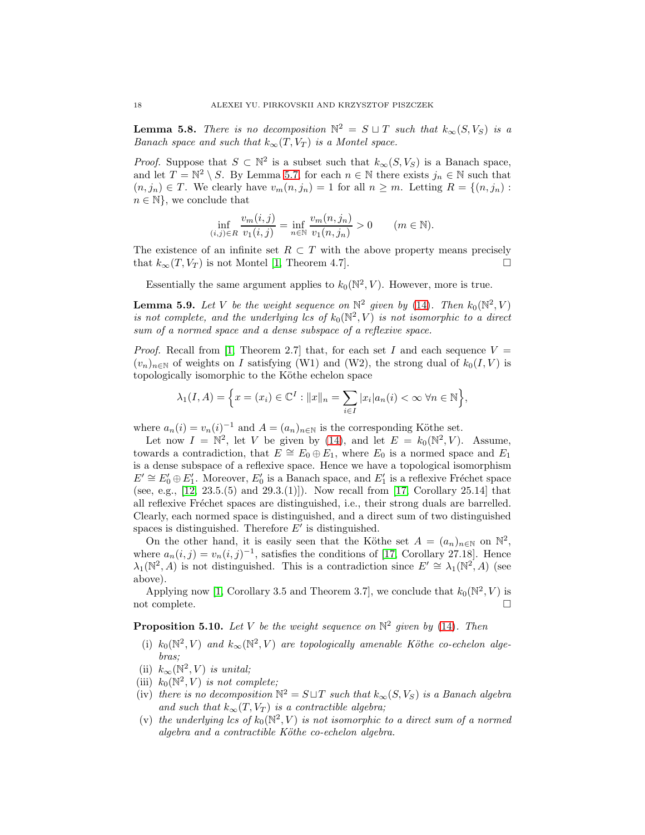<span id="page-17-1"></span>**Lemma 5.8.** *There is no decomposition*  $\mathbb{N}^2 = S \sqcup T$  *such that*  $k_{\infty}(S, V_S)$  *is a Banach space and such that*  $k_{\infty}(T, V_T)$  *is a Montel space.* 

*Proof.* Suppose that  $S \subset \mathbb{N}^2$  is a subset such that  $k_{\infty}(S, V_S)$  is a Banach space, and let  $T = \mathbb{N}^2 \setminus S$ . By Lemma [5.7,](#page-16-2) for each  $n \in \mathbb{N}$  there exists  $j_n \in \mathbb{N}$  such that  $(n, j_n) \in T$ . We clearly have  $v_m(n, j_n) = 1$  for all  $n \geq m$ . Letting  $R = \{(n, j_n) :$  $n \in \mathbb{N}$ , we conclude that

$$
\inf_{(i,j)\in R} \frac{v_m(i,j)}{v_1(i,j)} = \inf_{n\in \mathbb{N}} \frac{v_m(n,j_n)}{v_1(n,j_n)} > 0 \quad (m \in \mathbb{N}).
$$

The existence of an infinite set  $R \subset T$  with the above property means precisely that  $k_{-1}(T V_T)$  is not Montel [1] Theorem 4.7] that  $k_{\infty}(T, V_T)$  is not Montel [\[1,](#page-18-11) Theorem 4.7].

Essentially the same argument applies to  $k_0(\mathbb{N}^2, V)$ . However, more is true.

<span id="page-17-0"></span>**Lemma 5.9.** Let V be the weight sequence on  $\mathbb{N}^2$  given by [\(14\)](#page-16-3). Then  $k_0(\mathbb{N}^2, V)$ *is not complete, and the underlying lcs of*  $k_0(\mathbb{N}^2, V)$  *is not isomorphic to a direct sum of a normed space and a dense subspace of a reflexive space.*

*Proof.* Recall from [\[1,](#page-18-11) Theorem 2.7] that, for each set I and each sequence  $V =$  $(v_n)_{n\in\mathbb{N}}$  of weights on I satisfying (W1) and (W2), the strong dual of  $k_0(I, V)$  is topologically isomorphic to the Köthe echelon space

$$
\lambda_1(I, A) = \left\{ x = (x_i) \in \mathbb{C}^I : ||x||_n = \sum_{i \in I} |x_i| a_n(i) < \infty \, \forall n \in \mathbb{N} \right\},
$$

where  $a_n(i) = v_n(i)^{-1}$  and  $A = (a_n)_{n \in \mathbb{N}}$  is the corresponding Köthe set.

Let now  $I = \mathbb{N}^2$ , let V be given by [\(14\)](#page-16-3), and let  $E = k_0(\mathbb{N}^2, V)$ . Assume, towards a contradiction, that  $E \cong E_0 \oplus E_1$ , where  $E_0$  is a normed space and  $E_1$ is a dense subspace of a reflexive space. Hence we have a topological isomorphism  $E' \cong E'_0 \oplus E'_1$ . Moreover,  $E'_0$  is a Banach space, and  $E'_1$  is a reflexive Fréchet space (see, e.g.,  $[12, 23.5.5]$  and  $[29.3.1]$ ). Now recall from [\[17,](#page-18-4) Corollary 25.14] that all reflexive Fréchet spaces are distinguished, i.e., their strong duals are barrelled. Clearly, each normed space is distinguished, and a direct sum of two distinguished spaces is distinguished. Therefore  $E'$  is distinguished.

On the other hand, it is easily seen that the Köthe set  $A = (a_n)_{n \in \mathbb{N}}$  on  $\mathbb{N}^2$ , where  $a_n(i,j) = v_n(i,j)^{-1}$ , satisfies the conditions of [\[17,](#page-18-4) Corollary 27.18]. Hence  $\lambda_1(\mathbb{N}^2, A)$  is not distinguished. This is a contradiction since  $E' \cong \lambda_1(\mathbb{N}^2, A)$  (see above).

Applying now [\[1,](#page-18-11) Corollary 3.5 and Theorem 3.7], we conclude that  $k_0(\mathbb{N}^2, V)$  is not complete.  $\Box$ 

# Proposition 5.10. *Let* V *be the weight sequence on* N 2 *given by* [\(14\)](#page-16-3)*. Then*

- (i)  $k_0(\mathbb{N}^2, V)$  and  $k_\infty(\mathbb{N}^2, V)$  are topologically amenable Köthe co-echelon alge*bras;*
- (ii)  $k_{\infty}(\mathbb{N}^2, V)$  *is unital*;
- (iii)  $k_0(N^2, V)$  *is not complete;*
- (iv) *there is no decomposition*  $\mathbb{N}^2 = S \sqcup T$  *such that*  $k_{\infty}(S, V_S)$  *is a Banach algebra and such that*  $k_{\infty}(T, V_T)$  *is a contractible algebra;*
- (v) the underlying lcs of  $k_0(\mathbb{N}^2, V)$  is not isomorphic to a direct sum of a normed *algebra and a contractible K¨othe co-echelon algebra.*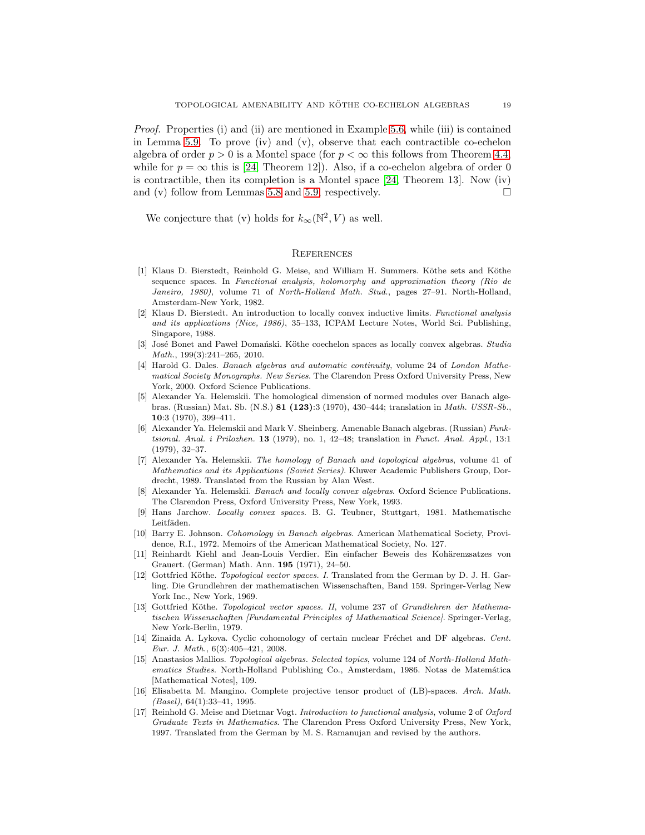*Proof.* Properties (i) and (ii) are mentioned in Example [5.6,](#page-16-0) while (iii) is contained in Lemma [5.9.](#page-17-0) To prove (iv) and (v), observe that each contractible co-echelon algebra of order  $p > 0$  is a Montel space (for  $p < \infty$  this follows from Theorem [4.4,](#page-13-0) while for  $p = \infty$  this is [\[24,](#page-19-1) Theorem 12]). Also, if a co-echelon algebra of order 0 is contractible, then its completion is a Montel space  $[24,$  Theorem 13. Now (iv) and (v) follow from Lemmas [5.8](#page-17-1) and [5.9,](#page-17-0) respectively.  $\square$ 

We conjecture that (v) holds for  $k_{\infty}(\mathbb{N}^2, V)$  as well.

### **REFERENCES**

- <span id="page-18-11"></span>[1] Klaus D. Bierstedt, Reinhold G. Meise, and William H. Summers. Köthe sets and Köthe sequence spaces. In *Functional analysis, holomorphy and approximation theory (Rio de Janeiro, 1980)*, volume 71 of *North-Holland Math. Stud.*, pages 27–91. North-Holland, Amsterdam-New York, 1982.
- <span id="page-18-13"></span>[2] Klaus D. Bierstedt. An introduction to locally convex inductive limits. *Functional analysis and its applications (Nice, 1986)*, 35–133, ICPAM Lecture Notes, World Sci. Publishing, Singapore, 1988.
- <span id="page-18-12"></span>[3] José Bonet and Paweł Domański. Köthe coechelon spaces as locally convex algebras. *Studia Math.*, 199(3):241–265, 2010.
- <span id="page-18-5"></span>[4] Harold G. Dales. *Banach algebras and automatic continuity*, volume 24 of *London Mathematical Society Monographs. New Series*. The Clarendon Press Oxford University Press, New York, 2000. Oxford Science Publications.
- <span id="page-18-2"></span>[5] Alexander Ya. Helemskii. The homological dimension of normed modules over Banach algebras. (Russian) Mat. Sb. (N.S.) 81 (123):3 (1970), 430–444; translation in *Math. USSR-Sb.*, 10:3 (1970), 399–411.
- <span id="page-18-1"></span>[6] Alexander Ya. Helemskii and Mark V. Sheinberg. Amenable Banach algebras. (Russian) *Funktsional. Anal. i Prilozhen.* 13 (1979), no. 1, 42–48; translation in *Funct. Anal. Appl.*, 13:1 (1979), 32–37.
- <span id="page-18-7"></span>[7] Alexander Ya. Helemskii. *The homology of Banach and topological algebras*, volume 41 of *Mathematics and its Applications (Soviet Series)*. Kluwer Academic Publishers Group, Dordrecht, 1989. Translated from the Russian by Alan West.
- <span id="page-18-14"></span>[8] Alexander Ya. Helemskii. *Banach and locally convex algebras*. Oxford Science Publications. The Clarendon Press, Oxford University Press, New York, 1993.
- <span id="page-18-10"></span><span id="page-18-0"></span>[9] Hans Jarchow. *Locally convex spaces*. B. G. Teubner, Stuttgart, 1981. Mathematische Leitfäden.
- [10] Barry E. Johnson. *Cohomology in Banach algebras*. American Mathematical Society, Providence, R.I., 1972. Memoirs of the American Mathematical Society, No. 127.
- <span id="page-18-3"></span>[11] Reinhardt Kiehl and Jean-Louis Verdier. Ein einfacher Beweis des Kohärenzsatzes von Grauert. (German) Math. Ann. 195 (1971), 24–50.
- <span id="page-18-8"></span>[12] Gottfried Köthe. *Topological vector spaces. I*. Translated from the German by D. J. H. Garling. Die Grundlehren der mathematischen Wissenschaften, Band 159. Springer-Verlag New York Inc., New York, 1969.
- <span id="page-18-9"></span>[13] Gottfried Köthe. *Topological vector spaces. II*, volume 237 of *Grundlehren der Mathematischen Wissenschaften [Fundamental Principles of Mathematical Science]*. Springer-Verlag, New York-Berlin, 1979.
- <span id="page-18-16"></span>[14] Zinaida A. Lykova. Cyclic cohomology of certain nuclear Fréchet and DF algebras. *Cent. Eur. J. Math.*, 6(3):405–421, 2008.
- <span id="page-18-6"></span>[15] Anastasios Mallios. *Topological algebras. Selected topics*, volume 124 of *North-Holland Mathematics Studies*. North-Holland Publishing Co., Amsterdam, 1986. Notas de Matemática [Mathematical Notes], 109.
- <span id="page-18-15"></span>[16] Elisabetta M. Mangino. Complete projective tensor product of (LB)-spaces. *Arch. Math. (Basel)*, 64(1):33–41, 1995.
- <span id="page-18-4"></span>[17] Reinhold G. Meise and Dietmar Vogt. *Introduction to functional analysis*, volume 2 of *Oxford Graduate Texts in Mathematics*. The Clarendon Press Oxford University Press, New York, 1997. Translated from the German by M. S. Ramanujan and revised by the authors.